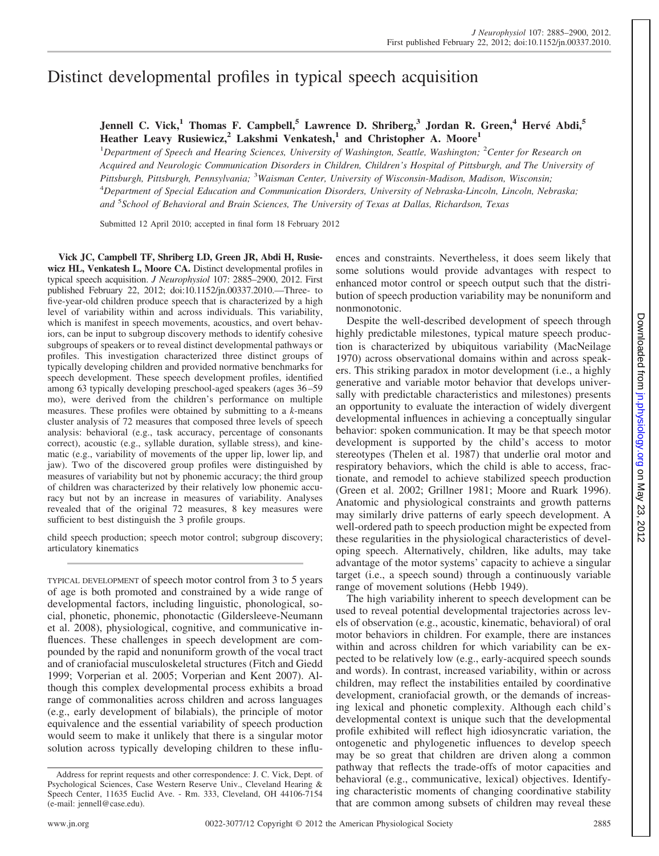# Distinct developmental profiles in typical speech acquisition

## **Jennell C. Vick,<sup>1</sup> Thomas F. Campbell,<sup>5</sup> Lawrence D. Shriberg,<sup>3</sup> Jordan R. Green,<sup>4</sup> Hervé Abdi,<sup>5</sup> Heather Leavy Rusiewicz,<sup>2</sup> Lakshmi Venkatesh,<sup>1</sup> and Christopher A. Moore<sup>1</sup>**

1 *Department of Speech and Hearing Sciences, University of Washington, Seattle, Washington;* <sup>2</sup> *Center for Research on Acquired and Neurologic Communication Disorders in Children, Children's Hospital of Pittsburgh, and The University of Pittsburgh, Pittsburgh, Pennsylvania;* <sup>3</sup> *Waisman Center, University of Wisconsin-Madison, Madison, Wisconsin;* 4 *Department of Special Education and Communication Disorders, University of Nebraska-Lincoln, Lincoln, Nebraska; and* <sup>5</sup> *School of Behavioral and Brain Sciences, The University of Texas at Dallas, Richardson, Texas*

Submitted 12 April 2010; accepted in final form 18 February 2012

**Vick JC, Campbell TF, Shriberg LD, Green JR, Abdi H, Rusiewicz HL, Venkatesh L, Moore CA.** Distinct developmental profiles in typical speech acquisition. *J Neurophysiol* 107: 2885–2900, 2012. First published February 22, 2012; doi:10.1152/jn.00337.2010.—Three- to five-year-old children produce speech that is characterized by a high level of variability within and across individuals. This variability, which is manifest in speech movements, acoustics, and overt behaviors, can be input to subgroup discovery methods to identify cohesive subgroups of speakers or to reveal distinct developmental pathways or profiles. This investigation characterized three distinct groups of typically developing children and provided normative benchmarks for speech development. These speech development profiles, identified among 63 typically developing preschool-aged speakers (ages 36 –59 mo), were derived from the children's performance on multiple measures. These profiles were obtained by submitting to a *k*-means cluster analysis of 72 measures that composed three levels of speech analysis: behavioral (e.g., task accuracy, percentage of consonants correct), acoustic (e.g., syllable duration, syllable stress), and kinematic (e.g., variability of movements of the upper lip, lower lip, and jaw). Two of the discovered group profiles were distinguished by measures of variability but not by phonemic accuracy; the third group of children was characterized by their relatively low phonemic accuracy but not by an increase in measures of variability. Analyses revealed that of the original 72 measures, 8 key measures were sufficient to best distinguish the 3 profile groups.

child speech production; speech motor control; subgroup discovery; articulatory kinematics

TYPICAL DEVELOPMENT of speech motor control from 3 to 5 years of age is both promoted and constrained by a wide range of developmental factors, including linguistic, phonological, social, phonetic, phonemic, phonotactic (Gildersleeve-Neumann et al. 2008), physiological, cognitive, and communicative influences. These challenges in speech development are compounded by the rapid and nonuniform growth of the vocal tract and of craniofacial musculoskeletal structures (Fitch and Giedd 1999; Vorperian et al. 2005; Vorperian and Kent 2007). Although this complex developmental process exhibits a broad range of commonalities across children and across languages (e.g., early development of bilabials), the principle of motor equivalence and the essential variability of speech production would seem to make it unlikely that there is a singular motor solution across typically developing children to these influences and constraints. Nevertheless, it does seem likely that some solutions would provide advantages with respect to enhanced motor control or speech output such that the distribution of speech production variability may be nonuniform and nonmonotonic.

Despite the well-described development of speech through highly predictable milestones, typical mature speech production is characterized by ubiquitous variability (MacNeilage 1970) across observational domains within and across speakers. This striking paradox in motor development (i.e., a highly generative and variable motor behavior that develops universally with predictable characteristics and milestones) presents an opportunity to evaluate the interaction of widely divergent developmental influences in achieving a conceptually singular behavior: spoken communication. It may be that speech motor development is supported by the child's access to motor stereotypes (Thelen et al. 1987) that underlie oral motor and respiratory behaviors, which the child is able to access, fractionate, and remodel to achieve stabilized speech production (Green et al. 2002; Grillner 1981; Moore and Ruark 1996). Anatomic and physiological constraints and growth patterns may similarly drive patterns of early speech development. A well-ordered path to speech production might be expected from these regularities in the physiological characteristics of developing speech. Alternatively, children, like adults, may take advantage of the motor systems' capacity to achieve a singular target (i.e., a speech sound) through a continuously variable range of movement solutions (Hebb 1949).

The high variability inherent to speech development can be used to reveal potential developmental trajectories across levels of observation (e.g., acoustic, kinematic, behavioral) of oral motor behaviors in children. For example, there are instances within and across children for which variability can be expected to be relatively low (e.g., early-acquired speech sounds and words). In contrast, increased variability, within or across children, may reflect the instabilities entailed by coordinative development, craniofacial growth, or the demands of increasing lexical and phonetic complexity. Although each child's developmental context is unique such that the developmental profile exhibited will reflect high idiosyncratic variation, the ontogenetic and phylogenetic influences to develop speech may be so great that children are driven along a common pathway that reflects the trade-offs of motor capacities and behavioral (e.g., communicative, lexical) objectives. Identifying characteristic moments of changing coordinative stability that are common among subsets of children may reveal these

Address for reprint requests and other correspondence: J. C. Vick, Dept. of Psychological Sciences, Case Western Reserve Univ., Cleveland Hearing & Speech Center, 11635 Euclid Ave. - Rm. 333, Cleveland, OH 44106-7154 (e-mail: jennell@case.edu).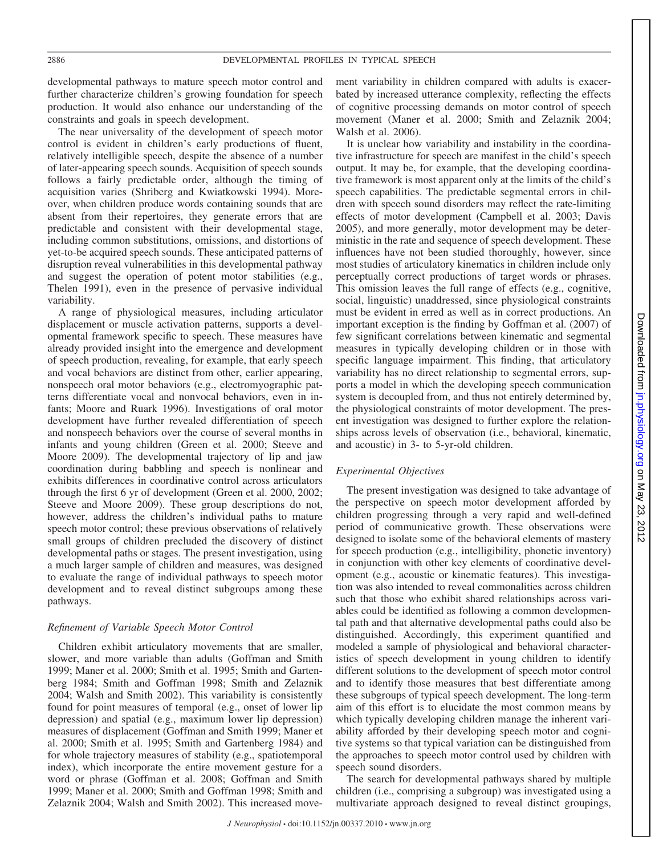developmental pathways to mature speech motor control and further characterize children's growing foundation for speech production. It would also enhance our understanding of the constraints and goals in speech development.

The near universality of the development of speech motor control is evident in children's early productions of fluent, relatively intelligible speech, despite the absence of a number of later-appearing speech sounds. Acquisition of speech sounds follows a fairly predictable order, although the timing of acquisition varies (Shriberg and Kwiatkowski 1994). Moreover, when children produce words containing sounds that are absent from their repertoires, they generate errors that are predictable and consistent with their developmental stage, including common substitutions, omissions, and distortions of yet-to-be acquired speech sounds. These anticipated patterns of disruption reveal vulnerabilities in this developmental pathway and suggest the operation of potent motor stabilities (e.g., Thelen 1991), even in the presence of pervasive individual variability.

A range of physiological measures, including articulator displacement or muscle activation patterns, supports a developmental framework specific to speech. These measures have already provided insight into the emergence and development of speech production, revealing, for example, that early speech and vocal behaviors are distinct from other, earlier appearing, nonspeech oral motor behaviors (e.g., electromyographic patterns differentiate vocal and nonvocal behaviors, even in infants; Moore and Ruark 1996). Investigations of oral motor development have further revealed differentiation of speech and nonspeech behaviors over the course of several months in infants and young children (Green et al. 2000; Steeve and Moore 2009). The developmental trajectory of lip and jaw coordination during babbling and speech is nonlinear and exhibits differences in coordinative control across articulators through the first 6 yr of development (Green et al. 2000, 2002; Steeve and Moore 2009). These group descriptions do not, however, address the children's individual paths to mature speech motor control; these previous observations of relatively small groups of children precluded the discovery of distinct developmental paths or stages. The present investigation, using a much larger sample of children and measures, was designed to evaluate the range of individual pathways to speech motor development and to reveal distinct subgroups among these pathways.

#### *Refinement of Variable Speech Motor Control*

Children exhibit articulatory movements that are smaller, slower, and more variable than adults (Goffman and Smith 1999; Maner et al. 2000; Smith et al. 1995; Smith and Gartenberg 1984; Smith and Goffman 1998; Smith and Zelaznik 2004; Walsh and Smith 2002). This variability is consistently found for point measures of temporal (e.g., onset of lower lip depression) and spatial (e.g., maximum lower lip depression) measures of displacement (Goffman and Smith 1999; Maner et al. 2000; Smith et al. 1995; Smith and Gartenberg 1984) and for whole trajectory measures of stability (e.g., spatiotemporal index), which incorporate the entire movement gesture for a word or phrase (Goffman et al. 2008; Goffman and Smith 1999; Maner et al. 2000; Smith and Goffman 1998; Smith and Zelaznik 2004; Walsh and Smith 2002). This increased movement variability in children compared with adults is exacerbated by increased utterance complexity, reflecting the effects of cognitive processing demands on motor control of speech movement (Maner et al. 2000; Smith and Zelaznik 2004; Walsh et al. 2006).

It is unclear how variability and instability in the coordinative infrastructure for speech are manifest in the child's speech output. It may be, for example, that the developing coordinative framework is most apparent only at the limits of the child's speech capabilities. The predictable segmental errors in children with speech sound disorders may reflect the rate-limiting effects of motor development (Campbell et al. 2003; Davis 2005), and more generally, motor development may be deterministic in the rate and sequence of speech development. These influences have not been studied thoroughly, however, since most studies of articulatory kinematics in children include only perceptually correct productions of target words or phrases. This omission leaves the full range of effects (e.g., cognitive, social, linguistic) unaddressed, since physiological constraints must be evident in erred as well as in correct productions. An important exception is the finding by Goffman et al. (2007) of few significant correlations between kinematic and segmental measures in typically developing children or in those with specific language impairment. This finding, that articulatory variability has no direct relationship to segmental errors, supports a model in which the developing speech communication system is decoupled from, and thus not entirely determined by, the physiological constraints of motor development. The present investigation was designed to further explore the relationships across levels of observation (i.e., behavioral, kinematic, and acoustic) in 3- to 5-yr-old children.

## *Experimental Objectives*

The present investigation was designed to take advantage of the perspective on speech motor development afforded by children progressing through a very rapid and well-defined period of communicative growth. These observations were designed to isolate some of the behavioral elements of mastery for speech production (e.g., intelligibility, phonetic inventory) in conjunction with other key elements of coordinative development (e.g., acoustic or kinematic features). This investigation was also intended to reveal commonalities across children such that those who exhibit shared relationships across variables could be identified as following a common developmental path and that alternative developmental paths could also be distinguished. Accordingly, this experiment quantified and modeled a sample of physiological and behavioral characteristics of speech development in young children to identify different solutions to the development of speech motor control and to identify those measures that best differentiate among these subgroups of typical speech development. The long-term aim of this effort is to elucidate the most common means by which typically developing children manage the inherent variability afforded by their developing speech motor and cognitive systems so that typical variation can be distinguished from the approaches to speech motor control used by children with speech sound disorders.

The search for developmental pathways shared by multiple children (i.e., comprising a subgroup) was investigated using a multivariate approach designed to reveal distinct groupings,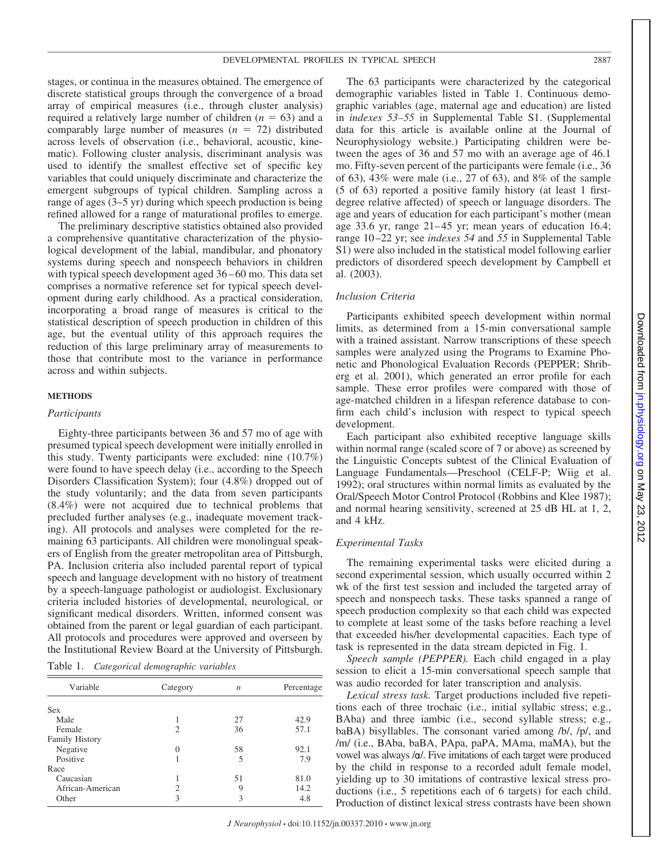stages, or continua in the measures obtained. The emergence of discrete statistical groups through the convergence of a broad array of empirical measures (i.e., through cluster analysis) required a relatively large number of children  $(n = 63)$  and a comparably large number of measures  $(n = 72)$  distributed across levels of observation (i.e., behavioral, acoustic, kinematic). Following cluster analysis, discriminant analysis was used to identify the smallest effective set of specific key variables that could uniquely discriminate and characterize the emergent subgroups of typical children. Sampling across a range of ages (3–5 yr) during which speech production is being refined allowed for a range of maturational profiles to emerge.

The preliminary descriptive statistics obtained also provided a comprehensive quantitative characterization of the physiological development of the labial, mandibular, and phonatory systems during speech and nonspeech behaviors in children with typical speech development aged 36 – 60 mo. This data set comprises a normative reference set for typical speech development during early childhood. As a practical consideration, incorporating a broad range of measures is critical to the statistical description of speech production in children of this age, but the eventual utility of this approach requires the reduction of this large preliminary array of measurements to those that contribute most to the variance in performance across and within subjects.

#### **METHODS**

## *Participants*

Eighty-three participants between 36 and 57 mo of age with presumed typical speech development were initially enrolled in this study. Twenty participants were excluded: nine (10.7%) were found to have speech delay (i.e., according to the Speech Disorders Classification System); four (4.8%) dropped out of the study voluntarily; and the data from seven participants (8.4%) were not acquired due to technical problems that precluded further analyses (e.g., inadequate movement tracking). All protocols and analyses were completed for the remaining 63 participants. All children were monolingual speakers of English from the greater metropolitan area of Pittsburgh, PA. Inclusion criteria also included parental report of typical speech and language development with no history of treatment by a speech-language pathologist or audiologist. Exclusionary criteria included histories of developmental, neurological, or significant medical disorders. Written, informed consent was obtained from the parent or legal guardian of each participant. All protocols and procedures were approved and overseen by the Institutional Review Board at the University of Pittsburgh.

| Table 1. |  | Categorical demographic variables |  |
|----------|--|-----------------------------------|--|
|----------|--|-----------------------------------|--|

| Variable              | Category       | $\boldsymbol{n}$ | Percentage |
|-----------------------|----------------|------------------|------------|
| Sex                   |                |                  |            |
| Male                  |                | 27               | 42.9       |
| Female                | $\mathfrak{D}$ | 36               | 57.1       |
| <b>Family History</b> |                |                  |            |
| Negative              | $\Omega$       | 58               | 92.1       |
| Positive              |                | 5                | 7.9        |
| Race                  |                |                  |            |
| Caucasian             |                | 51               | 81.0       |
| African-American      | 2              | 9                | 14.2       |
| Other                 | 3              | 3                | 4.8        |

The 63 participants were characterized by the categorical demographic variables listed in Table 1. Continuous demographic variables (age, maternal age and education) are listed in *indexes 53–55* in Supplemental Table S1. (Supplemental data for this article is available online at the Journal of Neurophysiology website.) Participating children were between the ages of 36 and 57 mo with an average age of 46.1 mo. Fifty-seven percent of the participants were female (i.e., 36 of 63), 43% were male (i.e., 27 of 63), and 8% of the sample (5 of 63) reported a positive family history (at least 1 firstdegree relative affected) of speech or language disorders. The age and years of education for each participant's mother (mean age 33.6 yr, range 21– 45 yr; mean years of education 16.4; range 10 –22 yr; see *indexes 54* and *55* in Supplemental Table S1) were also included in the statistical model following earlier predictors of disordered speech development by Campbell et al. (2003).

## *Inclusion Criteria*

Participants exhibited speech development within normal limits, as determined from a 15-min conversational sample with a trained assistant. Narrow transcriptions of these speech samples were analyzed using the Programs to Examine Phonetic and Phonological Evaluation Records (PEPPER; Shriberg et al. 2001), which generated an error profile for each sample. These error profiles were compared with those of age-matched children in a lifespan reference database to confirm each child's inclusion with respect to typical speech development.

Each participant also exhibited receptive language skills within normal range (scaled score of 7 or above) as screened by the Linguistic Concepts subtest of the Clinical Evaluation of Language Fundamentals—Preschool (CELF-P; Wiig et al. 1992); oral structures within normal limits as evaluated by the Oral/Speech Motor Control Protocol (Robbins and Klee 1987); and normal hearing sensitivity, screened at 25 dB HL at 1, 2, and 4 kHz.

## *Experimental Tasks*

The remaining experimental tasks were elicited during a second experimental session, which usually occurred within 2 wk of the first test session and included the targeted array of speech and nonspeech tasks. These tasks spanned a range of speech production complexity so that each child was expected to complete at least some of the tasks before reaching a level that exceeded his/her developmental capacities. Each type of task is represented in the data stream depicted in Fig. 1.

*Speech sample (PEPPER).* Each child engaged in a play session to elicit a 15-min conversational speech sample that was audio recorded for later transcription and analysis.

*Lexical stress task.* Target productions included five repetitions each of three trochaic (i.e., initial syllabic stress; e.g., BAba) and three iambic (i.e., second syllable stress; e.g., baBA) bisyllables. The consonant varied among /b/, /p/, and /m/ (i.e., BAba, baBA, PApa, paPA, MAma, maMA), but the vowel was always / $\alpha$ /. Five imitations of each target were produced by the child in response to a recorded adult female model, yielding up to 30 imitations of contrastive lexical stress productions (i.e., 5 repetitions each of 6 targets) for each child. Production of distinct lexical stress contrasts have been shown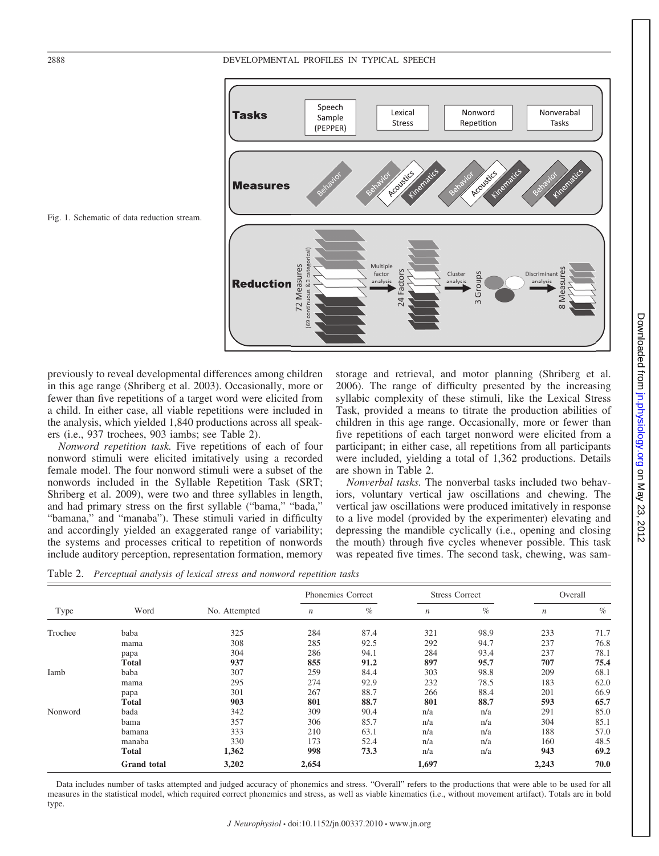## 2888 DEVELOPMENTAL PROFILES IN TYPICAL SPEECH



Fig. 1. Schematic of data reduction stream.

previously to reveal developmental differences among children in this age range (Shriberg et al. 2003). Occasionally, more or fewer than five repetitions of a target word were elicited from a child. In either case, all viable repetitions were included in the analysis, which yielded 1,840 productions across all speakers (i.e., 937 trochees, 903 iambs; see Table 2).

*Nonword repetition task.* Five repetitions of each of four nonword stimuli were elicited imitatively using a recorded female model. The four nonword stimuli were a subset of the nonwords included in the Syllable Repetition Task (SRT; Shriberg et al. 2009), were two and three syllables in length, and had primary stress on the first syllable ("bama," "bada," "bamana," and "manaba"). These stimuli varied in difficulty and accordingly yielded an exaggerated range of variability; the systems and processes critical to repetition of nonwords include auditory perception, representation formation, memory

storage and retrieval, and motor planning (Shriberg et al. 2006). The range of difficulty presented by the increasing syllabic complexity of these stimuli, like the Lexical Stress Task, provided a means to titrate the production abilities of children in this age range. Occasionally, more or fewer than five repetitions of each target nonword were elicited from a participant; in either case, all repetitions from all participants were included, yielding a total of 1,362 productions. Details are shown in Table 2.

*Nonverbal tasks.* The nonverbal tasks included two behaviors, voluntary vertical jaw oscillations and chewing. The vertical jaw oscillations were produced imitatively in response to a live model (provided by the experimenter) elevating and depressing the mandible cyclically (i.e., opening and closing the mouth) through five cycles whenever possible. This task was repeated five times. The second task, chewing, was sam-

Table 2. *Perceptual analysis of lexical stress and nonword repetition tasks*

| Type    | Word               | No. Attempted | Phonemics Correct |      | <b>Stress Correct</b> |      | Overall          |      |
|---------|--------------------|---------------|-------------------|------|-----------------------|------|------------------|------|
|         |                    |               | $\boldsymbol{n}$  | $\%$ | $\boldsymbol{n}$      | $\%$ | $\boldsymbol{n}$ | $\%$ |
| Trochee | baba               | 325           | 284               | 87.4 | 321                   | 98.9 | 233              | 71.7 |
|         | mama               | 308           | 285               | 92.5 | 292                   | 94.7 | 237              | 76.8 |
|         | papa               | 304           | 286               | 94.1 | 284                   | 93.4 | 237              | 78.1 |
|         | <b>Total</b>       | 937           | 855               | 91.2 | 897                   | 95.7 | 707              | 75.4 |
| Iamb    | baba               | 307           | 259               | 84.4 | 303                   | 98.8 | 209              | 68.1 |
|         | mama               | 295           | 274               | 92.9 | 232                   | 78.5 | 183              | 62.0 |
|         | papa               | 301           | 267               | 88.7 | 266                   | 88.4 | 201              | 66.9 |
|         | Total              | 903           | 801               | 88.7 | 801                   | 88.7 | 593              | 65.7 |
| Nonword | bada               | 342           | 309               | 90.4 | n/a                   | n/a  | 291              | 85.0 |
|         | bama               | 357           | 306               | 85.7 | n/a                   | n/a  | 304              | 85.1 |
|         | bamana             | 333           | 210               | 63.1 | n/a                   | n/a  | 188              | 57.0 |
|         | manaba             | 330           | 173               | 52.4 | n/a                   | n/a  | 160              | 48.5 |
|         | <b>Total</b>       | 1,362         | 998               | 73.3 | n/a                   | n/a  | 943              | 69.2 |
|         | <b>Grand</b> total | 3,202         | 2,654             |      | 1,697                 |      | 2,243            | 70.0 |

Data includes number of tasks attempted and judged accuracy of phonemics and stress. "Overall" refers to the productions that were able to be used for all measures in the statistical model, which required correct phonemics and stress, as well as viable kinematics (i.e., without movement artifact). Totals are in bold type.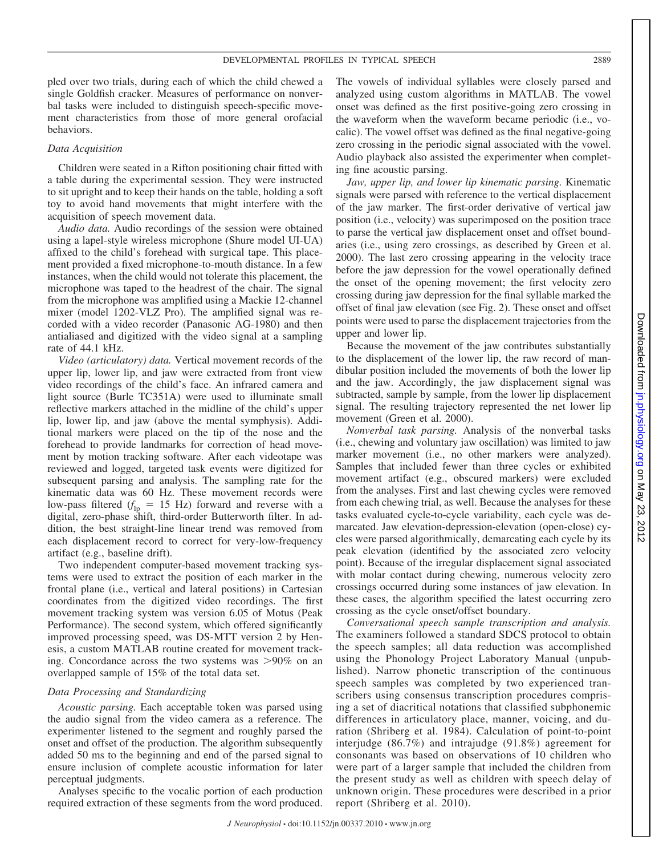pled over two trials, during each of which the child chewed a single Goldfish cracker. Measures of performance on nonverbal tasks were included to distinguish speech-specific movement characteristics from those of more general orofacial behaviors.

#### *Data Acquisition*

Children were seated in a Rifton positioning chair fitted with a table during the experimental session. They were instructed to sit upright and to keep their hands on the table, holding a soft toy to avoid hand movements that might interfere with the acquisition of speech movement data.

*Audio data.* Audio recordings of the session were obtained using a lapel-style wireless microphone (Shure model UI-UA) affixed to the child's forehead with surgical tape. This placement provided a fixed microphone-to-mouth distance. In a few instances, when the child would not tolerate this placement, the microphone was taped to the headrest of the chair. The signal from the microphone was amplified using a Mackie 12-channel mixer (model 1202-VLZ Pro). The amplified signal was recorded with a video recorder (Panasonic AG-1980) and then antialiased and digitized with the video signal at a sampling rate of 44.1 kHz.

*Video (articulatory) data.* Vertical movement records of the upper lip, lower lip, and jaw were extracted from front view video recordings of the child's face. An infrared camera and light source (Burle TC351A) were used to illuminate small reflective markers attached in the midline of the child's upper lip, lower lip, and jaw (above the mental symphysis). Additional markers were placed on the tip of the nose and the forehead to provide landmarks for correction of head movement by motion tracking software. After each videotape was reviewed and logged, targeted task events were digitized for subsequent parsing and analysis. The sampling rate for the kinematic data was 60 Hz. These movement records were low-pass filtered  $(f_{\text{lp}} = 15 \text{ Hz})$  forward and reverse with a digital, zero-phase shift, third-order Butterworth filter. In addition, the best straight-line linear trend was removed from each displacement record to correct for very-low-frequency artifact (e.g., baseline drift).

Two independent computer-based movement tracking systems were used to extract the position of each marker in the frontal plane (i.e., vertical and lateral positions) in Cartesian coordinates from the digitized video recordings. The first movement tracking system was version 6.05 of Motus (Peak Performance). The second system, which offered significantly improved processing speed, was DS-MTT version 2 by Henesis, a custom MATLAB routine created for movement tracking. Concordance across the two systems was  $>90\%$  on an overlapped sample of 15% of the total data set.

## *Data Processing and Standardizing*

*Acoustic parsing.* Each acceptable token was parsed using the audio signal from the video camera as a reference. The experimenter listened to the segment and roughly parsed the onset and offset of the production. The algorithm subsequently added 50 ms to the beginning and end of the parsed signal to ensure inclusion of complete acoustic information for later perceptual judgments.

Analyses specific to the vocalic portion of each production required extraction of these segments from the word produced. The vowels of individual syllables were closely parsed and analyzed using custom algorithms in MATLAB. The vowel onset was defined as the first positive-going zero crossing in the waveform when the waveform became periodic (i.e., vocalic). The vowel offset was defined as the final negative-going zero crossing in the periodic signal associated with the vowel. Audio playback also assisted the experimenter when completing fine acoustic parsing.

*Jaw, upper lip, and lower lip kinematic parsing.* Kinematic signals were parsed with reference to the vertical displacement of the jaw marker. The first-order derivative of vertical jaw position (i.e., velocity) was superimposed on the position trace to parse the vertical jaw displacement onset and offset boundaries (i.e., using zero crossings, as described by Green et al. 2000). The last zero crossing appearing in the velocity trace before the jaw depression for the vowel operationally defined the onset of the opening movement; the first velocity zero crossing during jaw depression for the final syllable marked the offset of final jaw elevation (see Fig. 2). These onset and offset points were used to parse the displacement trajectories from the upper and lower lip.

Because the movement of the jaw contributes substantially to the displacement of the lower lip, the raw record of mandibular position included the movements of both the lower lip and the jaw. Accordingly, the jaw displacement signal was subtracted, sample by sample, from the lower lip displacement signal. The resulting trajectory represented the net lower lip movement (Green et al. 2000).

*Nonverbal task parsing.* Analysis of the nonverbal tasks (i.e., chewing and voluntary jaw oscillation) was limited to jaw marker movement (i.e., no other markers were analyzed). Samples that included fewer than three cycles or exhibited movement artifact (e.g., obscured markers) were excluded from the analyses. First and last chewing cycles were removed from each chewing trial, as well. Because the analyses for these tasks evaluated cycle-to-cycle variability, each cycle was demarcated. Jaw elevation-depression-elevation (open-close) cycles were parsed algorithmically, demarcating each cycle by its peak elevation (identified by the associated zero velocity point). Because of the irregular displacement signal associated with molar contact during chewing, numerous velocity zero crossings occurred during some instances of jaw elevation. In these cases, the algorithm specified the latest occurring zero crossing as the cycle onset/offset boundary.

*Conversational speech sample transcription and analysis.* The examiners followed a standard SDCS protocol to obtain the speech samples; all data reduction was accomplished using the Phonology Project Laboratory Manual (unpublished). Narrow phonetic transcription of the continuous speech samples was completed by two experienced transcribers using consensus transcription procedures comprising a set of diacritical notations that classified subphonemic differences in articulatory place, manner, voicing, and duration (Shriberg et al. 1984). Calculation of point-to-point interjudge (86.7%) and intrajudge (91.8%) agreement for consonants was based on observations of 10 children who were part of a larger sample that included the children from the present study as well as children with speech delay of unknown origin. These procedures were described in a prior report (Shriberg et al. 2010).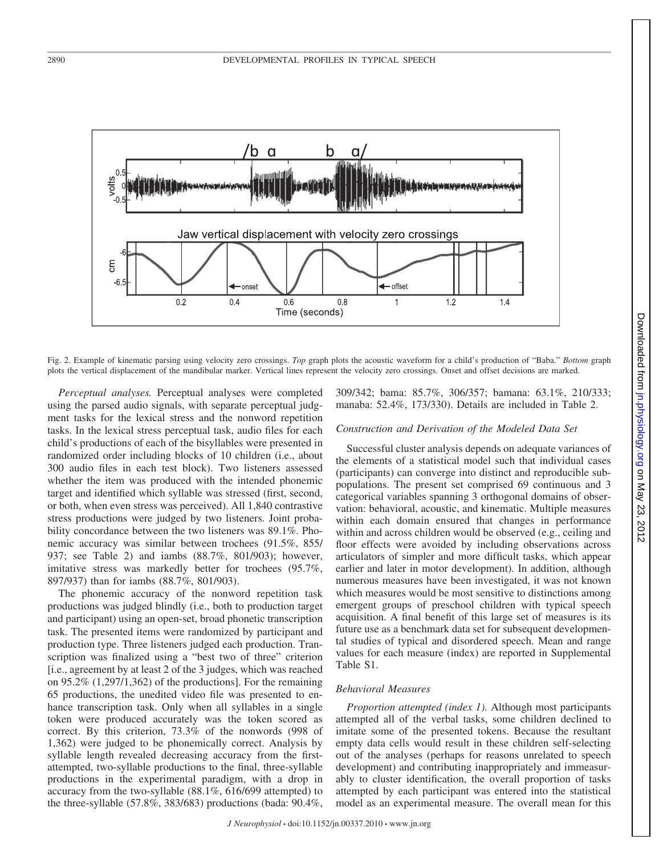

Fig. 2. Example of kinematic parsing using velocity zero crossings. *Top* graph plots the acoustic waveform for a child's production of "Baba." *Bottom* graph plots the vertical displacement of the mandibular marker. Vertical lines represent the velocity zero crossings. Onset and offset decisions are marked.

*Perceptual analyses.* Perceptual analyses were completed using the parsed audio signals, with separate perceptual judgment tasks for the lexical stress and the nonword repetition tasks. In the lexical stress perceptual task, audio files for each child's productions of each of the bisyllables were presented in randomized order including blocks of 10 children (i.e., about 300 audio files in each test block). Two listeners assessed whether the item was produced with the intended phonemic target and identified which syllable was stressed (first, second, or both, when even stress was perceived). All 1,840 contrastive stress productions were judged by two listeners. Joint probability concordance between the two listeners was 89.1%. Phonemic accuracy was similar between trochees (91.5%, 855/ 937; see Table 2) and iambs (88.7%, 801/903); however, imitative stress was markedly better for trochees (95.7%, 897/937) than for iambs (88.7%, 801/903).

The phonemic accuracy of the nonword repetition task productions was judged blindly (i.e., both to production target and participant) using an open-set, broad phonetic transcription task. The presented items were randomized by participant and production type. Three listeners judged each production. Transcription was finalized using a "best two of three" criterion [i.e., agreement by at least 2 of the 3 judges, which was reached on 95.2% (1,297/1,362) of the productions]. For the remaining 65 productions, the unedited video file was presented to enhance transcription task. Only when all syllables in a single token were produced accurately was the token scored as correct. By this criterion, 73.3% of the nonwords (998 of 1,362) were judged to be phonemically correct. Analysis by syllable length revealed decreasing accuracy from the firstattempted, two-syllable productions to the final, three-syllable productions in the experimental paradigm, with a drop in accuracy from the two-syllable (88.1%, 616/699 attempted) to the three-syllable (57.8%, 383/683) productions (bada: 90.4%,

309/342; bama: 85.7%, 306/357; bamana: 63.1%, 210/333; manaba: 52.4%, 173/330). Details are included in Table 2.

## *Construction and Derivation of the Modeled Data Set*

Successful cluster analysis depends on adequate variances of the elements of a statistical model such that individual cases (participants) can converge into distinct and reproducible subpopulations. The present set comprised 69 continuous and 3 categorical variables spanning 3 orthogonal domains of observation: behavioral, acoustic, and kinematic. Multiple measures within each domain ensured that changes in performance within and across children would be observed (e.g., ceiling and floor effects were avoided by including observations across articulators of simpler and more difficult tasks, which appear earlier and later in motor development). In addition, although numerous measures have been investigated, it was not known which measures would be most sensitive to distinctions among emergent groups of preschool children with typical speech acquisition. A final benefit of this large set of measures is its future use as a benchmark data set for subsequent developmental studies of typical and disordered speech. Mean and range values for each measure (index) are reported in Supplemental Table S1.

## *Behavioral Measures*

*Proportion attempted (index 1).* Although most participants attempted all of the verbal tasks, some children declined to imitate some of the presented tokens. Because the resultant empty data cells would result in these children self-selecting out of the analyses (perhaps for reasons unrelated to speech development) and contributing inappropriately and immeasurably to cluster identification, the overall proportion of tasks attempted by each participant was entered into the statistical model as an experimental measure. The overall mean for this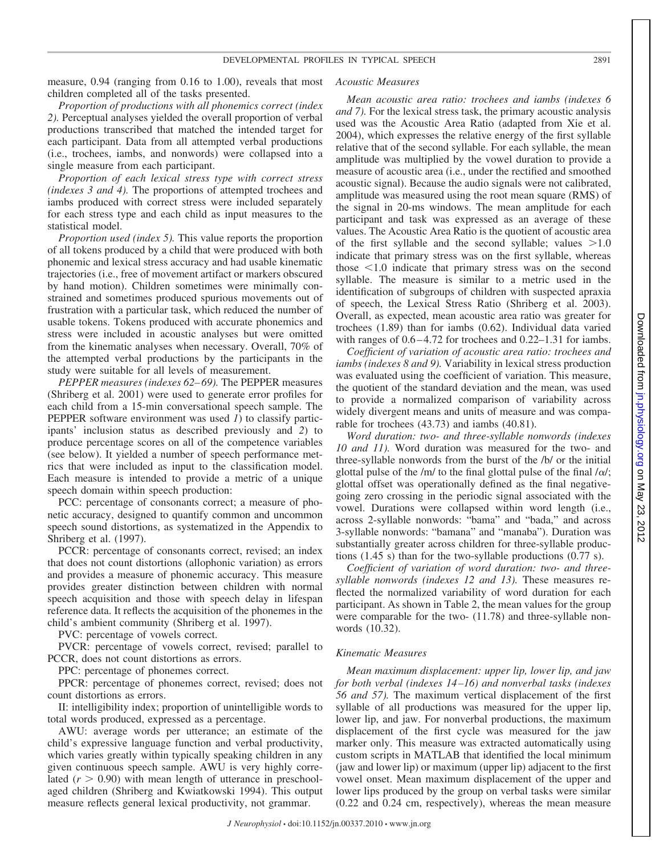measure, 0.94 (ranging from 0.16 to 1.00), reveals that most children completed all of the tasks presented.

*Proportion of productions with all phonemics correct (index 2).* Perceptual analyses yielded the overall proportion of verbal productions transcribed that matched the intended target for each participant. Data from all attempted verbal productions (i.e., trochees, iambs, and nonwords) were collapsed into a single measure from each participant.

*Proportion of each lexical stress type with correct stress (indexes 3 and 4).* The proportions of attempted trochees and iambs produced with correct stress were included separately for each stress type and each child as input measures to the statistical model.

*Proportion used (index 5).* This value reports the proportion of all tokens produced by a child that were produced with both phonemic and lexical stress accuracy and had usable kinematic trajectories (i.e., free of movement artifact or markers obscured by hand motion). Children sometimes were minimally constrained and sometimes produced spurious movements out of frustration with a particular task, which reduced the number of usable tokens. Tokens produced with accurate phonemics and stress were included in acoustic analyses but were omitted from the kinematic analyses when necessary. Overall, 70% of the attempted verbal productions by the participants in the study were suitable for all levels of measurement.

*PEPPER measures (indexes 62–69).* The PEPPER measures (Shriberg et al. 2001) were used to generate error profiles for each child from a 15-min conversational speech sample. The PEPPER software environment was used *1*) to classify participants' inclusion status as described previously and *2*) to produce percentage scores on all of the competence variables (see below). It yielded a number of speech performance metrics that were included as input to the classification model. Each measure is intended to provide a metric of a unique speech domain within speech production:

PCC: percentage of consonants correct; a measure of phonetic accuracy, designed to quantify common and uncommon speech sound distortions, as systematized in the Appendix to Shriberg et al. (1997).

PCCR: percentage of consonants correct, revised; an index that does not count distortions (allophonic variation) as errors and provides a measure of phonemic accuracy. This measure provides greater distinction between children with normal speech acquisition and those with speech delay in lifespan reference data. It reflects the acquisition of the phonemes in the child's ambient community (Shriberg et al. 1997).

PVC: percentage of vowels correct.

PVCR: percentage of vowels correct, revised; parallel to PCCR, does not count distortions as errors.

PPC: percentage of phonemes correct.

PPCR: percentage of phonemes correct, revised; does not count distortions as errors.

II: intelligibility index; proportion of unintelligible words to total words produced, expressed as a percentage.

AWU: average words per utterance; an estimate of the child's expressive language function and verbal productivity, which varies greatly within typically speaking children in any given continuous speech sample. AWU is very highly correlated  $(r > 0.90)$  with mean length of utterance in preschoolaged children (Shriberg and Kwiatkowski 1994). This output measure reflects general lexical productivity, not grammar.

## *Acoustic Measures*

*Mean acoustic area ratio: trochees and iambs (indexes 6 and 7).* For the lexical stress task, the primary acoustic analysis used was the Acoustic Area Ratio (adapted from Xie et al. 2004), which expresses the relative energy of the first syllable relative that of the second syllable. For each syllable, the mean amplitude was multiplied by the vowel duration to provide a measure of acoustic area (i.e., under the rectified and smoothed acoustic signal). Because the audio signals were not calibrated, amplitude was measured using the root mean square (RMS) of the signal in 20-ms windows. The mean amplitude for each participant and task was expressed as an average of these values. The Acoustic Area Ratio is the quotient of acoustic area of the first syllable and the second syllable; values  $>1.0$ indicate that primary stress was on the first syllable, whereas those  $\leq 1.0$  indicate that primary stress was on the second syllable. The measure is similar to a metric used in the identification of subgroups of children with suspected apraxia of speech, the Lexical Stress Ratio (Shriberg et al. 2003). Overall, as expected, mean acoustic area ratio was greater for trochees (1.89) than for iambs (0.62). Individual data varied with ranges of  $0.6 - 4.72$  for trochees and  $0.22 - 1.31$  for iambs.

*Coefficient of variation of acoustic area ratio: trochees and iambs (indexes 8 and 9).* Variability in lexical stress production was evaluated using the coefficient of variation. This measure, the quotient of the standard deviation and the mean, was used to provide a normalized comparison of variability across widely divergent means and units of measure and was comparable for trochees (43.73) and iambs (40.81).

*Word duration: two- and three-syllable nonwords (indexes 10 and 11).* Word duration was measured for the two- and three-syllable nonwords from the burst of the /b/ or the initial glottal pulse of the /m/ to the final glottal pulse of the final / $\alpha$ /; glottal offset was operationally defined as the final negativegoing zero crossing in the periodic signal associated with the vowel. Durations were collapsed within word length (i.e., across 2-syllable nonwords: "bama" and "bada," and across 3-syllable nonwords: "bamana" and "manaba"). Duration was substantially greater across children for three-syllable productions (1.45 s) than for the two-syllable productions (0.77 s).

*Coefficient of variation of word duration: two- and threesyllable nonwords (indexes 12 and 13).* These measures reflected the normalized variability of word duration for each participant. As shown in Table 2, the mean values for the group were comparable for the two- (11.78) and three-syllable nonwords (10.32).

## *Kinematic Measures*

*Mean maximum displacement: upper lip, lower lip, and jaw for both verbal (indexes 14–16) and nonverbal tasks (indexes 56 and 57).* The maximum vertical displacement of the first syllable of all productions was measured for the upper lip, lower lip, and jaw. For nonverbal productions, the maximum displacement of the first cycle was measured for the jaw marker only. This measure was extracted automatically using custom scripts in MATLAB that identified the local minimum (jaw and lower lip) or maximum (upper lip) adjacent to the first vowel onset. Mean maximum displacement of the upper and lower lips produced by the group on verbal tasks were similar (0.22 and 0.24 cm, respectively), whereas the mean measure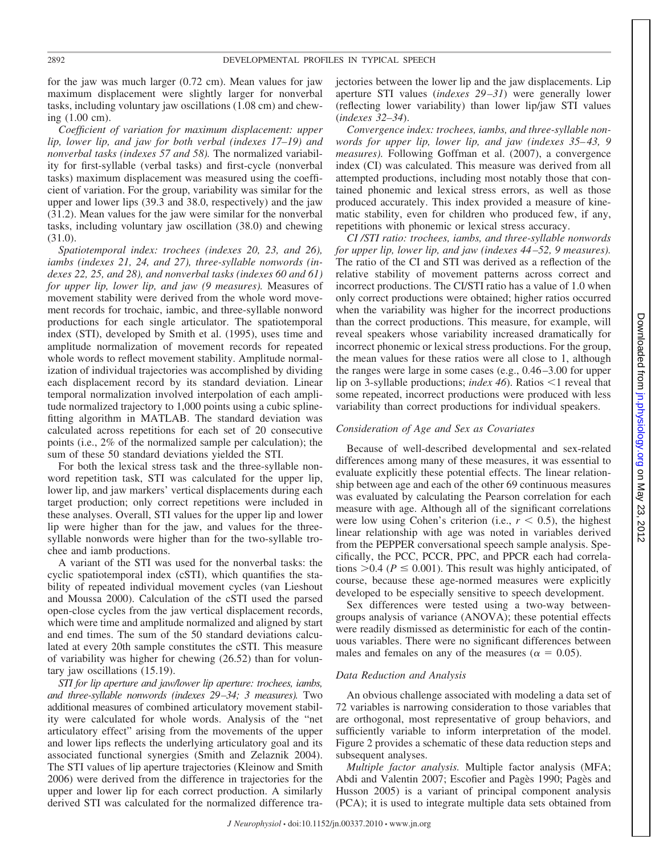for the jaw was much larger (0.72 cm). Mean values for jaw maximum displacement were slightly larger for nonverbal tasks, including voluntary jaw oscillations (1.08 cm) and chewing (1.00 cm).

*Coefficient of variation for maximum displacement: upper lip, lower lip, and jaw for both verbal (indexes 17–19) and nonverbal tasks (indexes 57 and 58).* The normalized variability for first-syllable (verbal tasks) and first-cycle (nonverbal tasks) maximum displacement was measured using the coefficient of variation. For the group, variability was similar for the upper and lower lips (39.3 and 38.0, respectively) and the jaw (31.2). Mean values for the jaw were similar for the nonverbal tasks, including voluntary jaw oscillation (38.0) and chewing (31.0).

*Spatiotemporal index: trochees (indexes 20, 23, and 26), iambs (indexes 21, 24, and 27), three-syllable nonwords (indexes 22, 25, and 28), and nonverbal tasks (indexes 60 and 61) for upper lip, lower lip, and jaw (9 measures).* Measures of movement stability were derived from the whole word movement records for trochaic, iambic, and three-syllable nonword productions for each single articulator. The spatiotemporal index (STI), developed by Smith et al. (1995), uses time and amplitude normalization of movement records for repeated whole words to reflect movement stability. Amplitude normalization of individual trajectories was accomplished by dividing each displacement record by its standard deviation. Linear temporal normalization involved interpolation of each amplitude normalized trajectory to 1,000 points using a cubic splinefitting algorithm in MATLAB. The standard deviation was calculated across repetitions for each set of 20 consecutive points (i.e., 2% of the normalized sample per calculation); the sum of these 50 standard deviations yielded the STI.

For both the lexical stress task and the three-syllable nonword repetition task, STI was calculated for the upper lip, lower lip, and jaw markers' vertical displacements during each target production; only correct repetitions were included in these analyses. Overall, STI values for the upper lip and lower lip were higher than for the jaw, and values for the threesyllable nonwords were higher than for the two-syllable trochee and iamb productions.

A variant of the STI was used for the nonverbal tasks: the cyclic spatiotemporal index (cSTI), which quantifies the stability of repeated individual movement cycles (van Lieshout and Moussa 2000). Calculation of the cSTI used the parsed open-close cycles from the jaw vertical displacement records, which were time and amplitude normalized and aligned by start and end times. The sum of the 50 standard deviations calculated at every 20th sample constitutes the cSTI. This measure of variability was higher for chewing (26.52) than for voluntary jaw oscillations (15.19).

*STI for lip aperture and jaw/lower lip aperture: trochees, iambs, and three-syllable nonwords (indexes 29–34; 3 measures).* Two additional measures of combined articulatory movement stability were calculated for whole words. Analysis of the "net articulatory effect" arising from the movements of the upper and lower lips reflects the underlying articulatory goal and its associated functional synergies (Smith and Zelaznik 2004). The STI values of lip aperture trajectories (Kleinow and Smith 2006) were derived from the difference in trajectories for the upper and lower lip for each correct production. A similarly derived STI was calculated for the normalized difference trajectories between the lower lip and the jaw displacements. Lip aperture STI values (*indexes 29–31*) were generally lower (reflecting lower variability) than lower lip/jaw STI values (*indexes 32–34*).

*Convergence index: trochees, iambs, and three-syllable nonwords for upper lip, lower lip, and jaw (indexes 35–43, 9 measures).* Following Goffman et al. (2007), a convergence index (CI) was calculated. This measure was derived from all attempted productions, including most notably those that contained phonemic and lexical stress errors, as well as those produced accurately. This index provided a measure of kinematic stability, even for children who produced few, if any, repetitions with phonemic or lexical stress accuracy.

*CI /STI ratio: trochees, iambs, and three-syllable nonwords for upper lip, lower lip, and jaw (indexes 44–52, 9 measures).* The ratio of the CI and STI was derived as a reflection of the relative stability of movement patterns across correct and incorrect productions. The CI/STI ratio has a value of 1.0 when only correct productions were obtained; higher ratios occurred when the variability was higher for the incorrect productions than the correct productions. This measure, for example, will reveal speakers whose variability increased dramatically for incorrect phonemic or lexical stress productions. For the group, the mean values for these ratios were all close to 1, although the ranges were large in some cases (e.g., 0.46 –3.00 for upper lip on 3-syllable productions; *index 46*). Ratios  $\leq$ 1 reveal that some repeated, incorrect productions were produced with less variability than correct productions for individual speakers.

## *Consideration of Age and Sex as Covariates*

Because of well-described developmental and sex-related differences among many of these measures, it was essential to evaluate explicitly these potential effects. The linear relationship between age and each of the other 69 continuous measures was evaluated by calculating the Pearson correlation for each measure with age. Although all of the significant correlations were low using Cohen's criterion (i.e.,  $r < 0.5$ ), the highest linear relationship with age was noted in variables derived from the PEPPER conversational speech sample analysis. Specifically, the PCC, PCCR, PPC, and PPCR each had correlations  $> 0.4$  ( $P \le 0.001$ ). This result was highly anticipated, of course, because these age-normed measures were explicitly developed to be especially sensitive to speech development.

Sex differences were tested using a two-way betweengroups analysis of variance (ANOVA); these potential effects were readily dismissed as deterministic for each of the continuous variables. There were no significant differences between males and females on any of the measures ( $\alpha = 0.05$ ).

#### *Data Reduction and Analysis*

An obvious challenge associated with modeling a data set of 72 variables is narrowing consideration to those variables that are orthogonal, most representative of group behaviors, and sufficiently variable to inform interpretation of the model. Figure 2 provides a schematic of these data reduction steps and subsequent analyses.

*Multiple factor analysis.* Multiple factor analysis (MFA; Abdi and Valentin 2007; Escofier and Pagès 1990; Pagès and Husson 2005) is a variant of principal component analysis (PCA); it is used to integrate multiple data sets obtained from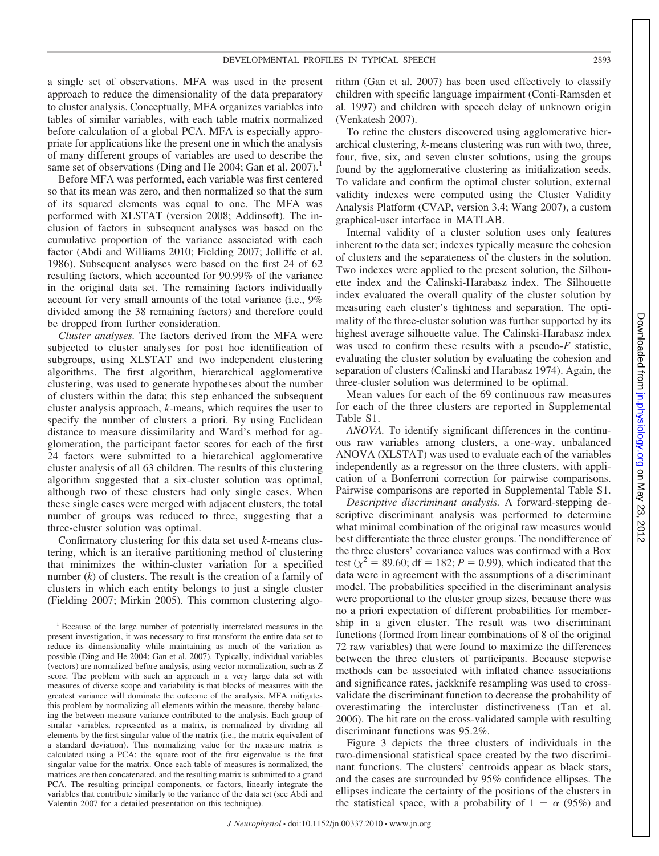a single set of observations. MFA was used in the present approach to reduce the dimensionality of the data preparatory to cluster analysis. Conceptually, MFA organizes variables into tables of similar variables, with each table matrix normalized before calculation of a global PCA. MFA is especially appropriate for applications like the present one in which the analysis of many different groups of variables are used to describe the same set of observations (Ding and He 2004; Gan et al. 2007).<sup>1</sup>

Before MFA was performed, each variable was first centered so that its mean was zero, and then normalized so that the sum of its squared elements was equal to one. The MFA was performed with XLSTAT (version 2008; Addinsoft). The inclusion of factors in subsequent analyses was based on the cumulative proportion of the variance associated with each factor (Abdi and Williams 2010; Fielding 2007; Jolliffe et al. 1986). Subsequent analyses were based on the first 24 of 62 resulting factors, which accounted for 90.99% of the variance in the original data set. The remaining factors individually account for very small amounts of the total variance (i.e., 9% divided among the 38 remaining factors) and therefore could be dropped from further consideration.

*Cluster analyses.* The factors derived from the MFA were subjected to cluster analyses for post hoc identification of subgroups, using XLSTAT and two independent clustering algorithms. The first algorithm, hierarchical agglomerative clustering, was used to generate hypotheses about the number of clusters within the data; this step enhanced the subsequent cluster analysis approach, *k*-means, which requires the user to specify the number of clusters a priori. By using Euclidean distance to measure dissimilarity and Ward's method for agglomeration, the participant factor scores for each of the first 24 factors were submitted to a hierarchical agglomerative cluster analysis of all 63 children. The results of this clustering algorithm suggested that a six-cluster solution was optimal, although two of these clusters had only single cases. When these single cases were merged with adjacent clusters, the total number of groups was reduced to three, suggesting that a three-cluster solution was optimal.

Confirmatory clustering for this data set used *k*-means clustering, which is an iterative partitioning method of clustering that minimizes the within-cluster variation for a specified number (*k*) of clusters. The result is the creation of a family of clusters in which each entity belongs to just a single cluster (Fielding 2007; Mirkin 2005). This common clustering algorithm (Gan et al. 2007) has been used effectively to classify children with specific language impairment (Conti-Ramsden et al. 1997) and children with speech delay of unknown origin (Venkatesh 2007).

To refine the clusters discovered using agglomerative hierarchical clustering, *k*-means clustering was run with two, three, four, five, six, and seven cluster solutions, using the groups found by the agglomerative clustering as initialization seeds. To validate and confirm the optimal cluster solution, external validity indexes were computed using the Cluster Validity Analysis Platform (CVAP, version 3.4; Wang 2007), a custom graphical-user interface in MATLAB.

Internal validity of a cluster solution uses only features inherent to the data set; indexes typically measure the cohesion of clusters and the separateness of the clusters in the solution. Two indexes were applied to the present solution, the Silhouette index and the Calinski-Harabasz index. The Silhouette index evaluated the overall quality of the cluster solution by measuring each cluster's tightness and separation. The optimality of the three-cluster solution was further supported by its highest average silhouette value. The Calinski-Harabasz index was used to confirm these results with a pseudo-*F* statistic, evaluating the cluster solution by evaluating the cohesion and separation of clusters (Calinski and Harabasz 1974). Again, the three-cluster solution was determined to be optimal.

Mean values for each of the 69 continuous raw measures for each of the three clusters are reported in Supplemental Table S1.

*ANOVA.* To identify significant differences in the continuous raw variables among clusters, a one-way, unbalanced ANOVA (XLSTAT) was used to evaluate each of the variables independently as a regressor on the three clusters, with application of a Bonferroni correction for pairwise comparisons. Pairwise comparisons are reported in Supplemental Table S1.

*Descriptive discriminant analysis.* A forward-stepping descriptive discriminant analysis was performed to determine what minimal combination of the original raw measures would best differentiate the three cluster groups. The nondifference of the three clusters' covariance values was confirmed with a Box test ( $\chi^2$  = 89.60; df = 182; *P* = 0.99), which indicated that the data were in agreement with the assumptions of a discriminant model. The probabilities specified in the discriminant analysis were proportional to the cluster group sizes, because there was no a priori expectation of different probabilities for membership in a given cluster. The result was two discriminant functions (formed from linear combinations of 8 of the original 72 raw variables) that were found to maximize the differences between the three clusters of participants. Because stepwise methods can be associated with inflated chance associations and significance rates, jackknife resampling was used to crossvalidate the discriminant function to decrease the probability of overestimating the intercluster distinctiveness (Tan et al. 2006). The hit rate on the cross-validated sample with resulting discriminant functions was 95.2%.

Figure 3 depicts the three clusters of individuals in the two-dimensional statistical space created by the two discriminant functions. The clusters' centroids appear as black stars, and the cases are surrounded by 95% confidence ellipses. The ellipses indicate the certainty of the positions of the clusters in the statistical space, with a probability of  $1 - \alpha$  (95%) and

<sup>&</sup>lt;sup>1</sup> Because of the large number of potentially interrelated measures in the present investigation, it was necessary to first transform the entire data set to reduce its dimensionality while maintaining as much of the variation as possible (Ding and He 2004; Gan et al. 2007). Typically, individual variables (vectors) are normalized before analysis, using vector normalization, such as *Z* score. The problem with such an approach in a very large data set with measures of diverse scope and variability is that blocks of measures with the greatest variance will dominate the outcome of the analysis. MFA mitigates this problem by normalizing all elements within the measure, thereby balancing the between-measure variance contributed to the analysis. Each group of similar variables, represented as a matrix, is normalized by dividing all elements by the first singular value of the matrix (i.e., the matrix equivalent of a standard deviation). This normalizing value for the measure matrix is calculated using a PCA: the square root of the first eigenvalue is the first singular value for the matrix. Once each table of measures is normalized, the matrices are then concatenated, and the resulting matrix is submitted to a grand PCA. The resulting principal components, or factors, linearly integrate the variables that contribute similarly to the variance of the data set (see Abdi and Valentin 2007 for a detailed presentation on this technique).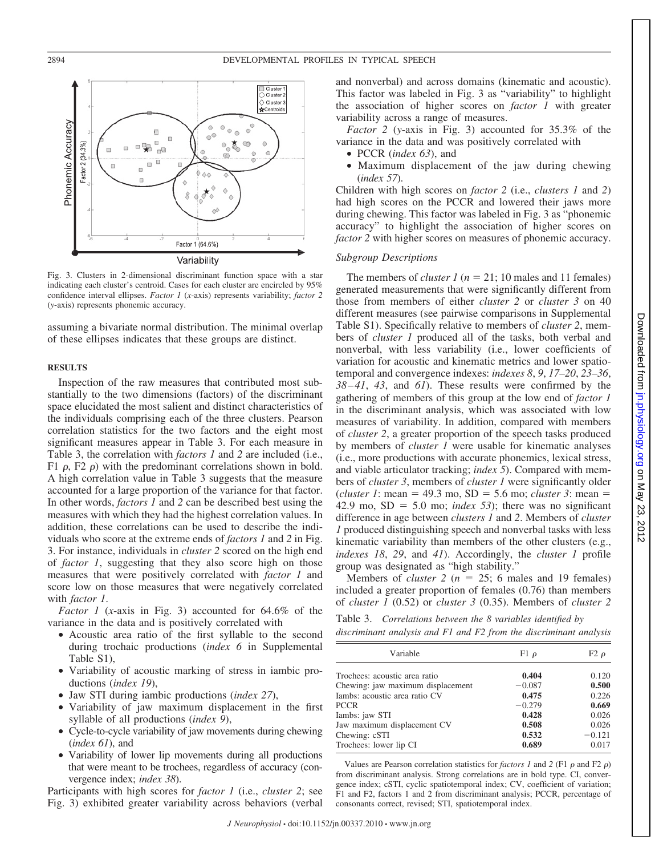



Fig. 3. Clusters in 2-dimensional discriminant function space with a star indicating each cluster's centroid. Cases for each cluster are encircled by 95% confidence interval ellipses. *Factor 1* (*x*-axis) represents variability; *factor 2* (*y*-axis) represents phonemic accuracy.

assuming a bivariate normal distribution. The minimal overlap of these ellipses indicates that these groups are distinct.

#### **RESULTS**

Inspection of the raw measures that contributed most substantially to the two dimensions (factors) of the discriminant space elucidated the most salient and distinct characteristics of the individuals comprising each of the three clusters. Pearson correlation statistics for the two factors and the eight most significant measures appear in Table 3. For each measure in Table 3, the correlation with *factors 1* and *2* are included (i.e., F1  $\rho$ , F2  $\rho$ ) with the predominant correlations shown in bold. A high correlation value in Table 3 suggests that the measure accounted for a large proportion of the variance for that factor. In other words, *factors 1* and *2* can be described best using the measures with which they had the highest correlation values. In addition, these correlations can be used to describe the individuals who score at the extreme ends of *factors 1* and *2* in Fig. 3. For instance, individuals in *cluster 2* scored on the high end of *factor 1*, suggesting that they also score high on those measures that were positively correlated with *factor 1* and score low on those measures that were negatively correlated with *factor 1*.

*Factor 1* (*x*-axis in Fig. 3) accounted for 64.6% of the variance in the data and is positively correlated with

- Acoustic area ratio of the first syllable to the second during trochaic productions (*index 6* in Supplemental Table S1),
- Variability of acoustic marking of stress in iambic productions (*index 19*),
- Jaw STI during iambic productions (*index 27*),
- Variability of jaw maximum displacement in the first syllable of all productions (*index 9*),
- Cycle-to-cycle variability of jaw movements during chewing (*index 61*), and
- Variability of lower lip movements during all productions that were meant to be trochees, regardless of accuracy (convergence index; *index 38*).

Participants with high scores for *factor 1* (i.e., *cluster 2*; see Fig. 3) exhibited greater variability across behaviors (verbal and nonverbal) and across domains (kinematic and acoustic). This factor was labeled in Fig. 3 as "variability" to highlight the association of higher scores on *factor 1* with greater variability across a range of measures.

*Factor 2* (*y*-axis in Fig. 3) accounted for 35.3% of the variance in the data and was positively correlated with

- PCCR (*index 63*), and
- Maximum displacement of the jaw during chewing (*index 57*).

Children with high scores on *factor 2* (i.e., *clusters 1* and *2*) had high scores on the PCCR and lowered their jaws more during chewing. This factor was labeled in Fig. 3 as "phonemic accuracy" to highlight the association of higher scores on *factor 2* with higher scores on measures of phonemic accuracy.

## *Subgroup Descriptions*

The members of *cluster 1* ( $n = 21$ ; 10 males and 11 females) generated measurements that were significantly different from those from members of either *cluster 2* or *cluster 3* on 40 different measures (see pairwise comparisons in Supplemental Table S1). Specifically relative to members of *cluster 2*, members of *cluster 1* produced all of the tasks, both verbal and nonverbal, with less variability (i.e., lower coefficients of variation for acoustic and kinematic metrics and lower spatiotemporal and convergence indexes: *indexes 8*, *9*, *17–20*, *23–36*, *38–41*, *43*, and *61*). These results were confirmed by the gathering of members of this group at the low end of *factor 1* in the discriminant analysis, which was associated with low measures of variability. In addition, compared with members of *cluster 2*, a greater proportion of the speech tasks produced by members of *cluster 1* were usable for kinematic analyses (i.e., more productions with accurate phonemics, lexical stress, and viable articulator tracking; *index 5*). Compared with members of *cluster 3*, members of *cluster 1* were significantly older  $(cluster 1: mean = 49.3 mo, SD = 5.6 mo; *cluster 3*: mean =$ 42.9 mo,  $SD = 5.0$  mo; *index 53*); there was no significant difference in age between *clusters 1* and *2*. Members of *cluster 1* produced distinguishing speech and nonverbal tasks with less kinematic variability than members of the other clusters (e.g., *indexes 18*, *29*, and *41*). Accordingly, the *cluster 1* profile group was designated as "high stability."

Members of *cluster* 2 ( $n = 25$ ; 6 males and 19 females) included a greater proportion of females (0.76) than members of *cluster 1* (0.52) or *cluster 3* (0.35). Members of *cluster 2*

Table 3. *Correlations between the 8 variables identified by discriminant analysis and F1 and F2 from the discriminant analysis*

| Variable                          | F1 $\rho$ | $F2\rho$ |
|-----------------------------------|-----------|----------|
| Trochees: acoustic area ratio     | 0.404     | 0.120    |
| Chewing: jaw maximum displacement | $-0.087$  | 0.500    |
| Iambs: acoustic area ratio CV     | 0.475     | 0.226    |
| <b>PCCR</b>                       | $-0.279$  | 0.669    |
| Iambs: jaw STI                    | 0.428     | 0.026    |
| Jaw maximum displacement CV       | 0.508     | 0.026    |
| Chewing: cSTI                     | 0.532     | $-0.121$ |
| Trochees: lower lip CI            | 0.689     | 0.017    |

Values are Pearson correlation statistics for *factors 1* and 2 (F1  $\rho$  and F2  $\rho$ ) from discriminant analysis. Strong correlations are in bold type. CI, convergence index; cSTI, cyclic spatiotemporal index; CV, coefficient of variation; F1 and F2, factors 1 and 2 from discriminant analysis; PCCR, percentage of consonants correct, revised; STI, spatiotemporal index.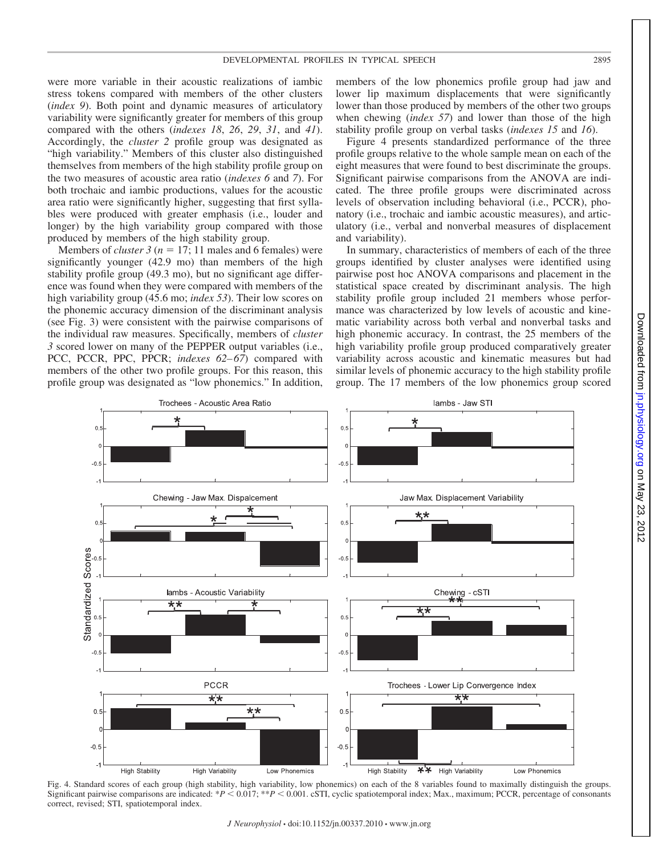were more variable in their acoustic realizations of iambic stress tokens compared with members of the other clusters (*index 9*). Both point and dynamic measures of articulatory variability were significantly greater for members of this group compared with the others (*indexes 18*, *26*, *29*, *31*, and *41*). Accordingly, the *cluster 2* profile group was designated as "high variability." Members of this cluster also distinguished themselves from members of the high stability profile group on the two measures of acoustic area ratio (*indexes 6* and *7*). For both trochaic and iambic productions, values for the acoustic area ratio were significantly higher, suggesting that first syllables were produced with greater emphasis (i.e., louder and longer) by the high variability group compared with those produced by members of the high stability group.

Members of *cluster 3* ( $n = 17$ ; 11 males and 6 females) were significantly younger (42.9 mo) than members of the high stability profile group (49.3 mo), but no significant age difference was found when they were compared with members of the high variability group (45.6 mo; *index 53*). Their low scores on the phonemic accuracy dimension of the discriminant analysis (see Fig. 3) were consistent with the pairwise comparisons of the individual raw measures. Specifically, members of *cluster 3* scored lower on many of the PEPPER output variables (i.e., PCC, PCCR, PPC, PPCR; *indexes 62–67*) compared with members of the other two profile groups. For this reason, this profile group was designated as "low phonemics." In addition,

members of the low phonemics profile group had jaw and lower lip maximum displacements that were significantly lower than those produced by members of the other two groups when chewing (*index 57*) and lower than those of the high stability profile group on verbal tasks (*indexes 15* and *16*).

Figure 4 presents standardized performance of the three profile groups relative to the whole sample mean on each of the eight measures that were found to best discriminate the groups. Significant pairwise comparisons from the ANOVA are indicated. The three profile groups were discriminated across levels of observation including behavioral (i.e., PCCR), phonatory (i.e., trochaic and iambic acoustic measures), and articulatory (i.e., verbal and nonverbal measures of displacement and variability).

In summary, characteristics of members of each of the three groups identified by cluster analyses were identified using pairwise post hoc ANOVA comparisons and placement in the statistical space created by discriminant analysis. The high stability profile group included 21 members whose performance was characterized by low levels of acoustic and kinematic variability across both verbal and nonverbal tasks and high phonemic accuracy. In contrast, the 25 members of the high variability profile group produced comparatively greater variability across acoustic and kinematic measures but had similar levels of phonemic accuracy to the high stability profile group. The 17 members of the low phonemics group scored



Fig. 4. Standard scores of each group (high stability, high variability, low phonemics) on each of the 8 variables found to maximally distinguish the groups. Significant pairwise comparisons are indicated: \**P* < 0.017; \*\**P* < 0.001. cSTI, cyclic spatiotemporal index; Max., maximum; PCCR, percentage of consonants correct, revised; STI, spatiotemporal index.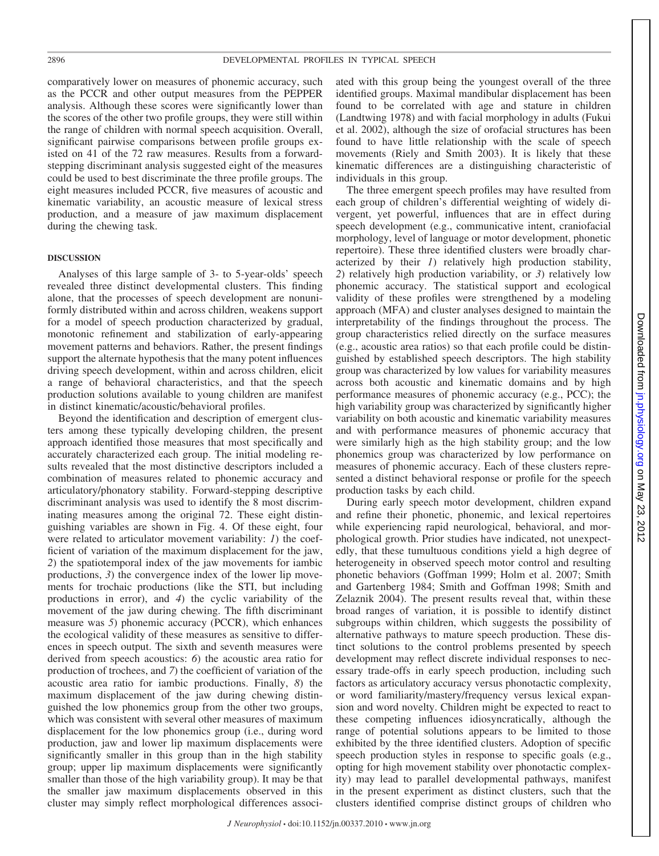comparatively lower on measures of phonemic accuracy, such as the PCCR and other output measures from the PEPPER analysis. Although these scores were significantly lower than the scores of the other two profile groups, they were still within the range of children with normal speech acquisition. Overall, significant pairwise comparisons between profile groups existed on 41 of the 72 raw measures. Results from a forwardstepping discriminant analysis suggested eight of the measures could be used to best discriminate the three profile groups. The eight measures included PCCR, five measures of acoustic and kinematic variability, an acoustic measure of lexical stress production, and a measure of jaw maximum displacement during the chewing task.

#### **DISCUSSION**

Analyses of this large sample of 3- to 5-year-olds' speech revealed three distinct developmental clusters. This finding alone, that the processes of speech development are nonuniformly distributed within and across children, weakens support for a model of speech production characterized by gradual, monotonic refinement and stabilization of early-appearing movement patterns and behaviors. Rather, the present findings support the alternate hypothesis that the many potent influences driving speech development, within and across children, elicit a range of behavioral characteristics, and that the speech production solutions available to young children are manifest in distinct kinematic/acoustic/behavioral profiles.

Beyond the identification and description of emergent clusters among these typically developing children, the present approach identified those measures that most specifically and accurately characterized each group. The initial modeling results revealed that the most distinctive descriptors included a combination of measures related to phonemic accuracy and articulatory/phonatory stability. Forward-stepping descriptive discriminant analysis was used to identify the 8 most discriminating measures among the original 72. These eight distinguishing variables are shown in Fig. 4. Of these eight, four were related to articulator movement variability: *1*) the coefficient of variation of the maximum displacement for the jaw, *2*) the spatiotemporal index of the jaw movements for iambic productions, *3*) the convergence index of the lower lip movements for trochaic productions (like the STI, but including productions in error), and *4*) the cyclic variability of the movement of the jaw during chewing. The fifth discriminant measure was *5*) phonemic accuracy (PCCR), which enhances the ecological validity of these measures as sensitive to differences in speech output. The sixth and seventh measures were derived from speech acoustics: *6*) the acoustic area ratio for production of trochees, and *7*) the coefficient of variation of the acoustic area ratio for iambic productions. Finally, *8*) the maximum displacement of the jaw during chewing distinguished the low phonemics group from the other two groups, which was consistent with several other measures of maximum displacement for the low phonemics group (i.e., during word production, jaw and lower lip maximum displacements were significantly smaller in this group than in the high stability group; upper lip maximum displacements were significantly smaller than those of the high variability group). It may be that the smaller jaw maximum displacements observed in this cluster may simply reflect morphological differences associated with this group being the youngest overall of the three identified groups. Maximal mandibular displacement has been found to be correlated with age and stature in children (Landtwing 1978) and with facial morphology in adults (Fukui et al. 2002), although the size of orofacial structures has been found to have little relationship with the scale of speech movements (Riely and Smith 2003). It is likely that these kinematic differences are a distinguishing characteristic of individuals in this group.

The three emergent speech profiles may have resulted from each group of children's differential weighting of widely divergent, yet powerful, influences that are in effect during speech development (e.g., communicative intent, craniofacial morphology, level of language or motor development, phonetic repertoire). These three identified clusters were broadly characterized by their *1*) relatively high production stability, *2*) relatively high production variability, or *3*) relatively low phonemic accuracy. The statistical support and ecological validity of these profiles were strengthened by a modeling approach (MFA) and cluster analyses designed to maintain the interpretability of the findings throughout the process. The group characteristics relied directly on the surface measures (e.g., acoustic area ratios) so that each profile could be distinguished by established speech descriptors. The high stability group was characterized by low values for variability measures across both acoustic and kinematic domains and by high performance measures of phonemic accuracy (e.g., PCC); the high variability group was characterized by significantly higher variability on both acoustic and kinematic variability measures and with performance measures of phonemic accuracy that were similarly high as the high stability group; and the low phonemics group was characterized by low performance on measures of phonemic accuracy. Each of these clusters represented a distinct behavioral response or profile for the speech production tasks by each child.

During early speech motor development, children expand and refine their phonetic, phonemic, and lexical repertoires while experiencing rapid neurological, behavioral, and morphological growth. Prior studies have indicated, not unexpectedly, that these tumultuous conditions yield a high degree of heterogeneity in observed speech motor control and resulting phonetic behaviors (Goffman 1999; Holm et al. 2007; Smith and Gartenberg 1984; Smith and Goffman 1998; Smith and Zelaznik 2004). The present results reveal that, within these broad ranges of variation, it is possible to identify distinct subgroups within children, which suggests the possibility of alternative pathways to mature speech production. These distinct solutions to the control problems presented by speech development may reflect discrete individual responses to necessary trade-offs in early speech production, including such factors as articulatory accuracy versus phonotactic complexity, or word familiarity/mastery/frequency versus lexical expansion and word novelty. Children might be expected to react to these competing influences idiosyncratically, although the range of potential solutions appears to be limited to those exhibited by the three identified clusters. Adoption of specific speech production styles in response to specific goals (e.g., opting for high movement stability over phonotactic complexity) may lead to parallel developmental pathways, manifest in the present experiment as distinct clusters, such that the clusters identified comprise distinct groups of children who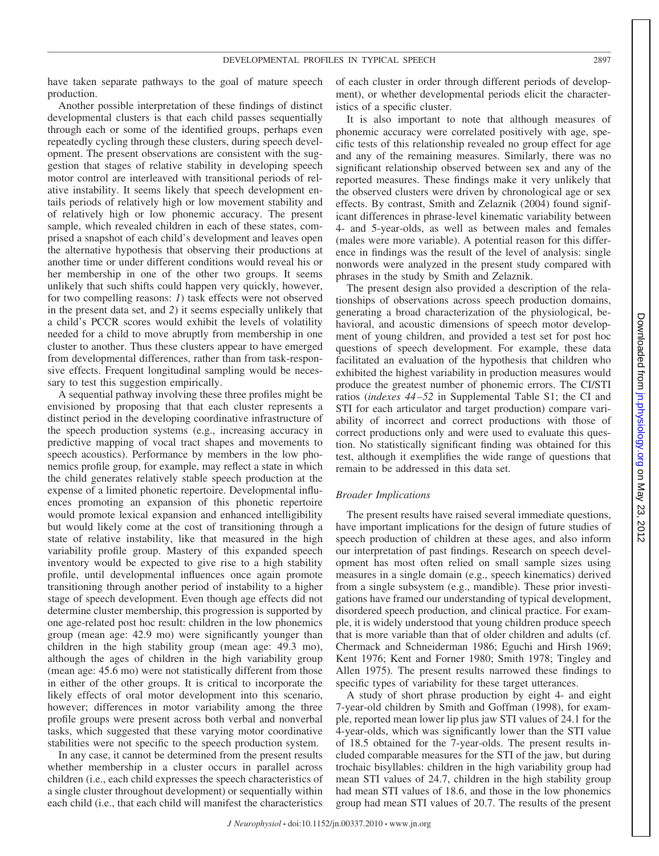have taken separate pathways to the goal of mature speech production.

Another possible interpretation of these findings of distinct developmental clusters is that each child passes sequentially through each or some of the identified groups, perhaps even repeatedly cycling through these clusters, during speech development. The present observations are consistent with the suggestion that stages of relative stability in developing speech motor control are interleaved with transitional periods of relative instability. It seems likely that speech development entails periods of relatively high or low movement stability and of relatively high or low phonemic accuracy. The present sample, which revealed children in each of these states, comprised a snapshot of each child's development and leaves open the alternative hypothesis that observing their productions at another time or under different conditions would reveal his or her membership in one of the other two groups. It seems unlikely that such shifts could happen very quickly, however, for two compelling reasons: *1*) task effects were not observed in the present data set, and *2*) it seems especially unlikely that a child's PCCR scores would exhibit the levels of volatility needed for a child to move abruptly from membership in one cluster to another. Thus these clusters appear to have emerged from developmental differences, rather than from task-responsive effects. Frequent longitudinal sampling would be necessary to test this suggestion empirically.

A sequential pathway involving these three profiles might be envisioned by proposing that that each cluster represents a distinct period in the developing coordinative infrastructure of the speech production systems (e.g., increasing accuracy in predictive mapping of vocal tract shapes and movements to speech acoustics). Performance by members in the low phonemics profile group, for example, may reflect a state in which the child generates relatively stable speech production at the expense of a limited phonetic repertoire. Developmental influences promoting an expansion of this phonetic repertoire would promote lexical expansion and enhanced intelligibility but would likely come at the cost of transitioning through a state of relative instability, like that measured in the high variability profile group. Mastery of this expanded speech inventory would be expected to give rise to a high stability profile, until developmental influences once again promote transitioning through another period of instability to a higher stage of speech development. Even though age effects did not determine cluster membership, this progression is supported by one age-related post hoc result: children in the low phonemics group (mean age: 42.9 mo) were significantly younger than children in the high stability group (mean age: 49.3 mo), although the ages of children in the high variability group (mean age: 45.6 mo) were not statistically different from those in either of the other groups. It is critical to incorporate the likely effects of oral motor development into this scenario, however; differences in motor variability among the three profile groups were present across both verbal and nonverbal tasks, which suggested that these varying motor coordinative stabilities were not specific to the speech production system.

In any case, it cannot be determined from the present results whether membership in a cluster occurs in parallel across children (i.e., each child expresses the speech characteristics of a single cluster throughout development) or sequentially within each child (i.e., that each child will manifest the characteristics

of each cluster in order through different periods of development), or whether developmental periods elicit the characteristics of a specific cluster.

It is also important to note that although measures of phonemic accuracy were correlated positively with age, specific tests of this relationship revealed no group effect for age and any of the remaining measures. Similarly, there was no significant relationship observed between sex and any of the reported measures. These findings make it very unlikely that the observed clusters were driven by chronological age or sex effects. By contrast, Smith and Zelaznik (2004) found significant differences in phrase-level kinematic variability between 4- and 5-year-olds, as well as between males and females (males were more variable). A potential reason for this difference in findings was the result of the level of analysis: single nonwords were analyzed in the present study compared with phrases in the study by Smith and Zelaznik.

The present design also provided a description of the relationships of observations across speech production domains, generating a broad characterization of the physiological, behavioral, and acoustic dimensions of speech motor development of young children, and provided a test set for post hoc questions of speech development. For example, these data facilitated an evaluation of the hypothesis that children who exhibited the highest variability in production measures would produce the greatest number of phonemic errors. The CI/STI ratios (*indexes 44–52* in Supplemental Table S1; the CI and STI for each articulator and target production) compare variability of incorrect and correct productions with those of correct productions only and were used to evaluate this question. No statistically significant finding was obtained for this test, although it exemplifies the wide range of questions that remain to be addressed in this data set.

## *Broader Implications*

The present results have raised several immediate questions, have important implications for the design of future studies of speech production of children at these ages, and also inform our interpretation of past findings. Research on speech development has most often relied on small sample sizes using measures in a single domain (e.g., speech kinematics) derived from a single subsystem (e.g., mandible). These prior investigations have framed our understanding of typical development, disordered speech production, and clinical practice. For example, it is widely understood that young children produce speech that is more variable than that of older children and adults (cf. Chermack and Schneiderman 1986; Eguchi and Hirsh 1969; Kent 1976; Kent and Forner 1980; Smith 1978; Tingley and Allen 1975). The present results narrowed these findings to specific types of variability for these target utterances.

A study of short phrase production by eight 4- and eight 7-year-old children by Smith and Goffman (1998), for example, reported mean lower lip plus jaw STI values of 24.1 for the 4-year-olds, which was significantly lower than the STI value of 18.5 obtained for the 7-year-olds. The present results included comparable measures for the STI of the jaw, but during trochaic bisyllables: children in the high variability group had mean STI values of 24.7, children in the high stability group had mean STI values of 18.6, and those in the low phonemics group had mean STI values of 20.7. The results of the present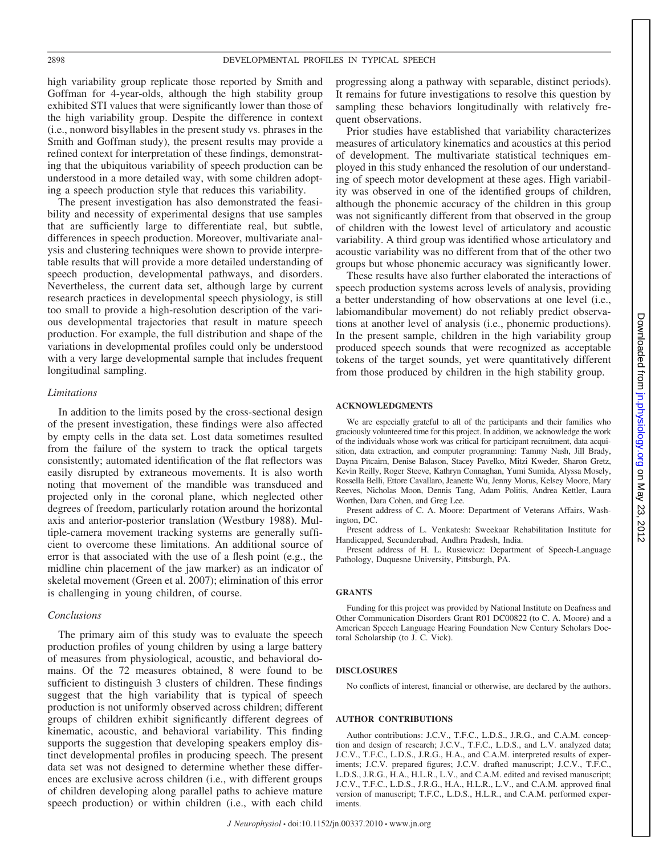high variability group replicate those reported by Smith and Goffman for 4-year-olds, although the high stability group exhibited STI values that were significantly lower than those of the high variability group. Despite the difference in context (i.e., nonword bisyllables in the present study vs. phrases in the Smith and Goffman study), the present results may provide a refined context for interpretation of these findings, demonstrating that the ubiquitous variability of speech production can be understood in a more detailed way, with some children adopting a speech production style that reduces this variability.

The present investigation has also demonstrated the feasibility and necessity of experimental designs that use samples that are sufficiently large to differentiate real, but subtle, differences in speech production. Moreover, multivariate analysis and clustering techniques were shown to provide interpretable results that will provide a more detailed understanding of speech production, developmental pathways, and disorders. Nevertheless, the current data set, although large by current research practices in developmental speech physiology, is still too small to provide a high-resolution description of the various developmental trajectories that result in mature speech production. For example, the full distribution and shape of the variations in developmental profiles could only be understood with a very large developmental sample that includes frequent longitudinal sampling.

#### *Limitations*

In addition to the limits posed by the cross-sectional design of the present investigation, these findings were also affected by empty cells in the data set. Lost data sometimes resulted from the failure of the system to track the optical targets consistently; automated identification of the flat reflectors was easily disrupted by extraneous movements. It is also worth noting that movement of the mandible was transduced and projected only in the coronal plane, which neglected other degrees of freedom, particularly rotation around the horizontal axis and anterior-posterior translation (Westbury 1988). Multiple-camera movement tracking systems are generally sufficient to overcome these limitations. An additional source of error is that associated with the use of a flesh point (e.g., the midline chin placement of the jaw marker) as an indicator of skeletal movement (Green et al. 2007); elimination of this error is challenging in young children, of course.

#### *Conclusions*

The primary aim of this study was to evaluate the speech production profiles of young children by using a large battery of measures from physiological, acoustic, and behavioral domains. Of the 72 measures obtained, 8 were found to be sufficient to distinguish 3 clusters of children. These findings suggest that the high variability that is typical of speech production is not uniformly observed across children; different groups of children exhibit significantly different degrees of kinematic, acoustic, and behavioral variability. This finding supports the suggestion that developing speakers employ distinct developmental profiles in producing speech. The present data set was not designed to determine whether these differences are exclusive across children (i.e., with different groups of children developing along parallel paths to achieve mature speech production) or within children (i.e., with each child

progressing along a pathway with separable, distinct periods). It remains for future investigations to resolve this question by sampling these behaviors longitudinally with relatively frequent observations.

Prior studies have established that variability characterizes measures of articulatory kinematics and acoustics at this period of development. The multivariate statistical techniques employed in this study enhanced the resolution of our understanding of speech motor development at these ages. High variability was observed in one of the identified groups of children, although the phonemic accuracy of the children in this group was not significantly different from that observed in the group of children with the lowest level of articulatory and acoustic variability. A third group was identified whose articulatory and acoustic variability was no different from that of the other two groups but whose phonemic accuracy was significantly lower.

These results have also further elaborated the interactions of speech production systems across levels of analysis, providing a better understanding of how observations at one level (i.e., labiomandibular movement) do not reliably predict observations at another level of analysis (i.e., phonemic productions). In the present sample, children in the high variability group produced speech sounds that were recognized as acceptable tokens of the target sounds, yet were quantitatively different from those produced by children in the high stability group.

#### **ACKNOWLEDGMENTS**

We are especially grateful to all of the participants and their families who graciously volunteered time for this project. In addition, we acknowledge the work of the individuals whose work was critical for participant recruitment, data acquisition, data extraction, and computer programming: Tammy Nash, Jill Brady, Dayna Pitcairn, Denise Balason, Stacey Pavelko, Mitzi Kweder, Sharon Gretz, Kevin Reilly, Roger Steeve, Kathryn Connaghan, Yumi Sumida, Alyssa Mosely, Rossella Belli, Ettore Cavallaro, Jeanette Wu, Jenny Morus, Kelsey Moore, Mary Reeves, Nicholas Moon, Dennis Tang, Adam Politis, Andrea Kettler, Laura Worthen, Dara Cohen, and Greg Lee.

Present address of C. A. Moore: Department of Veterans Affairs, Washington, DC.

Present address of L. Venkatesh: Sweekaar Rehabilitation Institute for Handicapped, Secunderabad, Andhra Pradesh, India.

Present address of H. L. Rusiewicz: Department of Speech-Language Pathology, Duquesne University, Pittsburgh, PA.

#### **GRANTS**

Funding for this project was provided by National Institute on Deafness and Other Communication Disorders Grant R01 DC00822 (to C. A. Moore) and a American Speech Language Hearing Foundation New Century Scholars Doctoral Scholarship (to J. C. Vick).

#### **DISCLOSURES**

No conflicts of interest, financial or otherwise, are declared by the authors.

#### **AUTHOR CONTRIBUTIONS**

Author contributions: J.C.V., T.F.C., L.D.S., J.R.G., and C.A.M. conception and design of research; J.C.V., T.F.C., L.D.S., and L.V. analyzed data; J.C.V., T.F.C., L.D.S., J.R.G., H.A., and C.A.M. interpreted results of experiments; J.C.V. prepared figures; J.C.V. drafted manuscript; J.C.V., T.F.C., L.D.S., J.R.G., H.A., H.L.R., L.V., and C.A.M. edited and revised manuscript; J.C.V., T.F.C., L.D.S., J.R.G., H.A., H.L.R., L.V., and C.A.M. approved final version of manuscript; T.F.C., L.D.S., H.L.R., and C.A.M. performed experiments.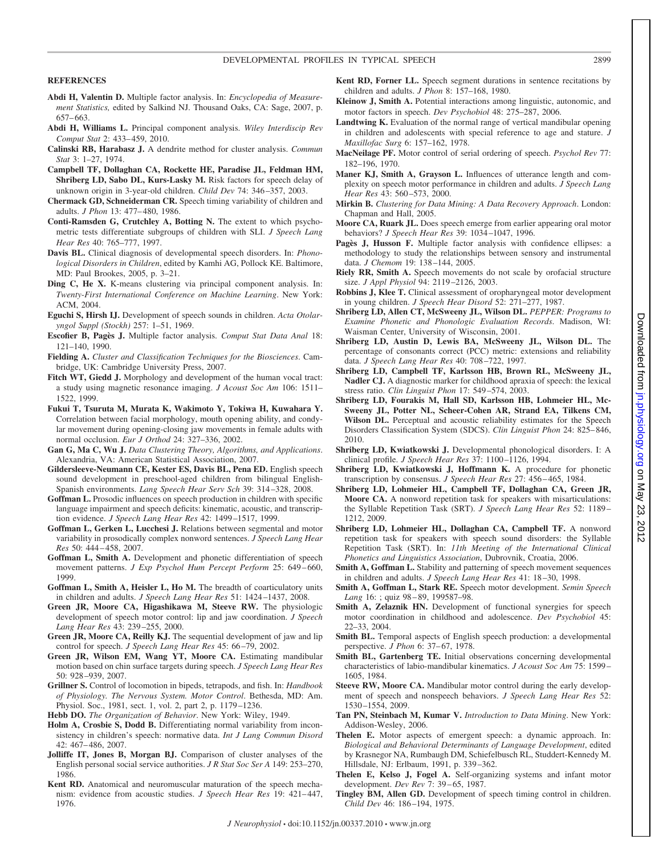DEVELOPMENTAL PROFILES IN TYPICAL SPEECH 2899

#### **REFERENCES**

- **Abdi H, Valentin D.** Multiple factor analysis. In: *Encyclopedia of Measurement Statistics,* edited by Salkind NJ. Thousand Oaks, CA: Sage, 2007, p. 657– 663.
- **Abdi H, Williams L.** Principal component analysis. *Wiley Interdiscip Rev Comput Stat* 2: 433– 459, 2010.
- **Calinski RB, Harabasz J.** A dendrite method for cluster analysis. *Commun Stat* 3: 1–27, 1974.
- **Campbell TF, Dollaghan CA, Rockette HE, Paradise JL, Feldman HM, Shriberg LD, Sabo DL, Kurs-Lasky M.** Risk factors for speech delay of unknown origin in 3-year-old children. *Child Dev* 74: 346 –357, 2003.
- **Chermack GD, Schneiderman CR.** Speech timing variability of children and adults. *J Phon* 13: 477– 480, 1986.
- **Conti-Ramsden G, Crutchley A, Botting N.** The extent to which psychometric tests differentiate subgroups of children with SLI. *J Speech Lang Hear Res* 40: 765–777, 1997.
- **Davis BL.** Clinical diagnosis of developmental speech disorders. In: *Phonological Disorders in Children*, edited by Kamhi AG, Pollock KE. Baltimore, MD: Paul Brookes, 2005, p. 3–21.
- **Ding C, He X.** K-means clustering via principal component analysis. In: *Twenty-First International Conference on Machine Learning*. New York: ACM, 2004.
- **Eguchi S, Hirsh IJ.** Development of speech sounds in children. *Acta Otolaryngol Suppl (Stockh)* 257: 1–51, 1969.
- **Escofier B, Pagès J.** Multiple factor analysis. *Comput Stat Data Anal* 18: 121–140, 1990.
- **Fielding A.** *Cluster and Classification Techniques for the Biosciences*. Cambridge, UK: Cambridge University Press, 2007.
- **Fitch WT, Giedd J.** Morphology and development of the human vocal tract: a study using magnetic resonance imaging. *J Acoust Soc Am* 106: 1511– 1522, 1999.
- **Fukui T, Tsuruta M, Murata K, Wakimoto Y, Tokiwa H, Kuwahara Y.** Correlation between facial morphology, mouth opening ability, and condylar movement during opening-closing jaw movements in female adults with normal occlusion. *Eur J Orthod* 24: 327–336, 2002.
- **Gan G, Ma C, Wu J.** *Data Clustering Theory, Algorithms, and Applications*. Alexandria, VA: American Statistical Association, 2007.
- **Gildersleeve-Neumann CE, Kester ES, Davis BL, Pena ED.** English speech sound development in preschool-aged children from bilingual English-Spanish environments. *Lang Speech Hear Serv Sch* 39: 314 –328, 2008.
- **Goffman L.** Prosodic influences on speech production in children with specific language impairment and speech deficits: kinematic, acoustic, and transcription evidence. *J Speech Lang Hear Res* 42: 1499 –1517, 1999.
- **Goffman L, Gerken L, Lucchesi J.** Relations between segmental and motor variability in prosodically complex nonword sentences. *J Speech Lang Hear Res* 50: 444 – 458, 2007.
- **Goffman L, Smith A.** Development and phonetic differentiation of speech movement patterns. *J Exp Psychol Hum Percept Perform* 25: 649-660, 1999.
- **Goffman L, Smith A, Heisler L, Ho M.** The breadth of coarticulatory units in children and adults. *J Speech Lang Hear Res* 51: 1424 –1437, 2008.
- **Green JR, Moore CA, Higashikawa M, Steeve RW.** The physiologic development of speech motor control: lip and jaw coordination. *J Speech Lang Hear Res* 43: 239 –255, 2000.
- **Green JR, Moore CA, Reilly KJ.** The sequential development of jaw and lip control for speech. *J Speech Lang Hear Res* 45: 66 –79, 2002.
- **Green JR, Wilson EM, Wang YT, Moore CA.** Estimating mandibular motion based on chin surface targets during speech. *J Speech Lang Hear Res* 50: 928 –939, 2007.
- **Grillner S.** Control of locomotion in bipeds, tetrapods, and fish. In: *Handbook of Physiology. The Nervous System. Motor Control*. Bethesda, MD: Am. Physiol. Soc., 1981, sect. 1, vol. 2, part 2, p. 1179 –1236.
- **Hebb DO.** *The Organization of Behavior*. New York: Wiley, 1949.
- **Holm A, Crosbie S, Dodd B.** Differentiating normal variability from inconsistency in children's speech: normative data. *Int J Lang Commun Disord* 42: 467– 486, 2007.
- **Jolliffe IT, Jones B, Morgan BJ.** Comparison of cluster analyses of the English personal social service authorities. *J R Stat Soc Ser A* 149: 253–270, 1986.
- **Kent RD.** Anatomical and neuromuscular maturation of the speech mechanism: evidence from acoustic studies. *J Speech Hear Res* 19: 421-447, 1976.
- **Kent RD, Forner LL.** Speech segment durations in sentence recitations by children and adults. *J Phon* 8: 157–168, 1980.
- **Kleinow J, Smith A.** Potential interactions among linguistic, autonomic, and motor factors in speech. *Dev Psychobiol* 48: 275–287, 2006.
- **Landtwing K.** Evaluation of the normal range of vertical mandibular opening in children and adolescents with special reference to age and stature. *J Maxillofac Surg* 6: 157–162, 1978.
- **MacNeilage PF.** Motor control of serial ordering of speech. *Psychol Rev* 77: 182–196, 1970.
- **Maner KJ, Smith A, Grayson L.** Influences of utterance length and complexity on speech motor performance in children and adults. *J Speech Lang Hear Res* 43: 560 –573, 2000.
- **Mirkin B.** *Clustering for Data Mining: A Data Recovery Approach*. London: Chapman and Hall, 2005.
- **Moore CA, Ruark JL.** Does speech emerge from earlier appearing oral motor behaviors? *J Speech Hear Res* 39: 1034 –1047, 1996.
- **Pagès J, Husson F.** Multiple factor analysis with confidence ellipses: a methodology to study the relationships between sensory and instrumental data. *J Chemom* 19: 138 –144, 2005.
- **Riely RR, Smith A.** Speech movements do not scale by orofacial structure size. *J Appl Physiol* 94: 2119 –2126, 2003.
- **Robbins J, Klee T.** Clinical assessment of oropharyngeal motor development in young children. *J Speech Hear Disord* 52: 271–277, 1987.
- **Shriberg LD, Allen CT, McSweeny JL, Wilson DL.** *PEPPER: Programs to Examine Phonetic and Phonologic Evaluation Records*. Madison, WI: Waisman Center, University of Wisconsin, 2001.
- **Shriberg LD, Austin D, Lewis BA, McSweeny JL, Wilson DL.** The percentage of consonants correct (PCC) metric: extensions and reliability data. *J Speech Lang Hear Res* 40: 708 –722, 1997.
- **Shriberg LD, Campbell TF, Karlsson HB, Brown RL, McSweeny JL, Nadler CJ.** A diagnostic marker for childhood apraxia of speech: the lexical stress ratio. *Clin Linguist Phon* 17: 549 –574, 2003.
- **Shriberg LD, Fourakis M, Hall SD, Karlsson HB, Lohmeier HL, Mc-Sweeny JL, Potter NL, Scheer-Cohen AR, Strand EA, Tilkens CM, Wilson DL.** Perceptual and acoustic reliability estimates for the Speech Disorders Classification System (SDCS). *Clin Linguist Phon* 24: 825– 846, 2010.
- **Shriberg LD, Kwiatkowski J.** Developmental phonological disorders. I: A clinical profile. *J Speech Hear Res* 37: 1100 –1126, 1994.
- **Shriberg LD, Kwiatkowski J, Hoffmann K.** A procedure for phonetic transcription by consensus. *J Speech Hear Res* 27: 456 – 465, 1984.
- **Shriberg LD, Lohmeier HL, Campbell TF, Dollaghan CA, Green JR, Moore CA.** A nonword repetition task for speakers with misarticulations: the Syllable Repetition Task (SRT). *J Speech Lang Hear Res* 52: 1189 – 1212, 2009.
- **Shriberg LD, Lohmeier HL, Dollaghan CA, Campbell TF.** A nonword repetition task for speakers with speech sound disorders: the Syllable Repetition Task (SRT). In: *11th Meeting of the International Clinical Phonetics and Linguistics Association*, Dubrovnik, Croatia, 2006.
- **Smith A, Goffman L.** Stability and patterning of speech movement sequences in children and adults. *J Speech Lang Hear Res* 41: 18 –30, 1998.
- **Smith A, Goffman L, Stark RE.** Speech motor development. *Semin Speech* Lang 16: ; quiz 98-89, 199587-98.
- Smith A, Zelaznik HN. Development of functional synergies for speech motor coordination in childhood and adolescence. *Dev Psychobiol* 45: 22–33, 2004.
- **Smith BL.** Temporal aspects of English speech production: a developmental perspective. *J Phon* 6: 37-67, 1978.
- **Smith BL, Gartenberg TE.** Initial observations concerning developmental characteristics of labio-mandibular kinematics. *J Acoust Soc Am* 75: 1599 – 1605, 1984.
- **Steeve RW, Moore CA.** Mandibular motor control during the early development of speech and nonspeech behaviors. *J Speech Lang Hear Res* 52: 1530 –1554, 2009.
- **Tan PN, Steinbach M, Kumar V.** *Introduction to Data Mining*. New York: Addison-Wesley, 2006.
- **Thelen E.** Motor aspects of emergent speech: a dynamic approach. In: *Biological and Behavioral Determinants of Language Development*, edited by Krasnegor NA, Rumbaugh DM, Schiefelbusch RL, Studdert-Kennedy M. Hillsdale, NJ: Erlbaum, 1991, p. 339 –362.
- **Thelen E, Kelso J, Fogel A.** Self-organizing systems and infant motor development. *Dev Rev* 7: 39 – 65, 1987.
- **Tingley BM, Allen GD.** Development of speech timing control in children. *Child Dev* 46: 186 –194, 1975.